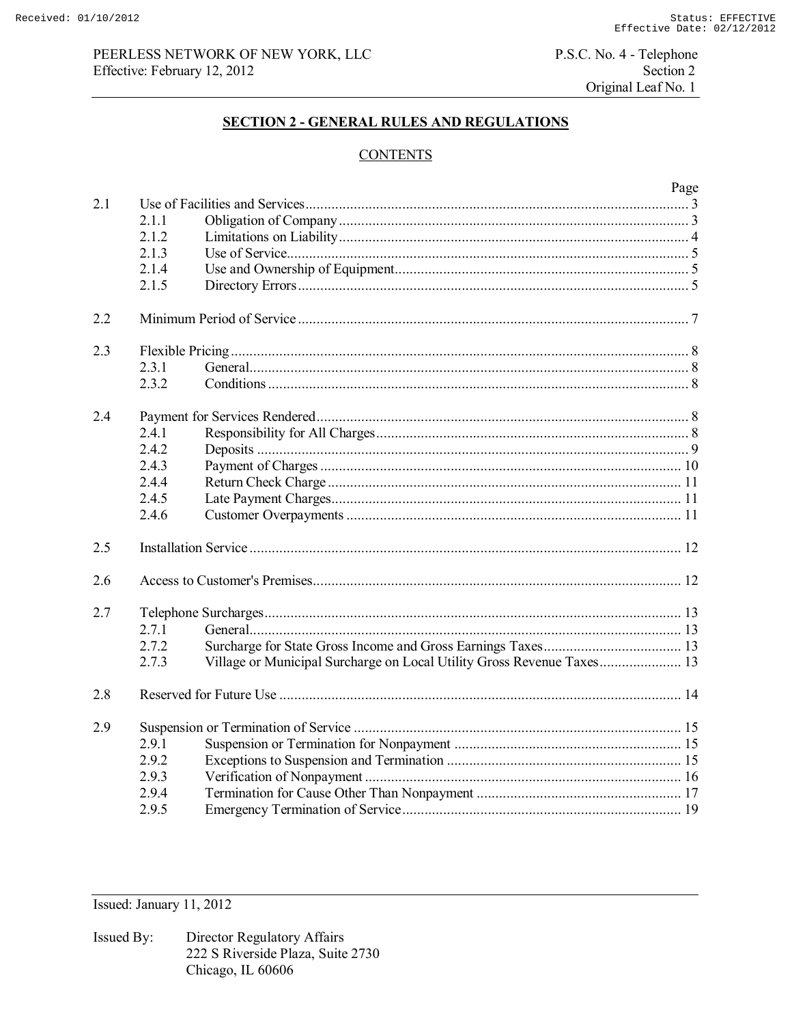# PEERLESS NETWORK OF NEW YORK, LLC Effective: February 12, 2012

P.S.C. No. 4 - Telephone Section 2 Original Leaf No. 1

# **SECTION 2 - GENERAL RULES AND REGULATIONS**

# **CONTENTS**

|     |       |                                                                        | Page |
|-----|-------|------------------------------------------------------------------------|------|
| 2.1 |       |                                                                        |      |
|     | 2.1.1 |                                                                        |      |
|     | 2.1.2 |                                                                        |      |
|     | 2.1.3 |                                                                        |      |
|     | 2.1.4 |                                                                        |      |
|     | 2.1.5 |                                                                        |      |
| 2.2 |       |                                                                        |      |
| 2.3 |       |                                                                        |      |
|     | 2.3.1 |                                                                        |      |
|     | 2.3.2 |                                                                        |      |
| 2.4 |       |                                                                        |      |
|     | 2.4.1 |                                                                        |      |
|     | 2.4.2 |                                                                        |      |
|     | 2.4.3 |                                                                        |      |
|     | 2.4.4 |                                                                        |      |
|     | 2.4.5 |                                                                        |      |
|     | 2.4.6 |                                                                        |      |
| 2.5 |       |                                                                        |      |
| 2.6 |       |                                                                        |      |
| 2.7 |       |                                                                        |      |
|     | 2.7.1 |                                                                        |      |
|     | 2.7.2 |                                                                        |      |
|     | 2.7.3 | Village or Municipal Surcharge on Local Utility Gross Revenue Taxes 13 |      |
| 2.8 |       |                                                                        |      |
| 2.9 |       |                                                                        |      |
|     | 2.9.1 |                                                                        |      |
|     | 2.9.2 |                                                                        |      |
|     | 2.9.3 |                                                                        |      |
|     | 2.9.4 |                                                                        |      |
|     | 2.9.5 |                                                                        |      |

Issued: January 11, 2012

Director Regulatory Affairs Issued By: 222 S Riverside Plaza, Suite 2730 Chicago, IL 60606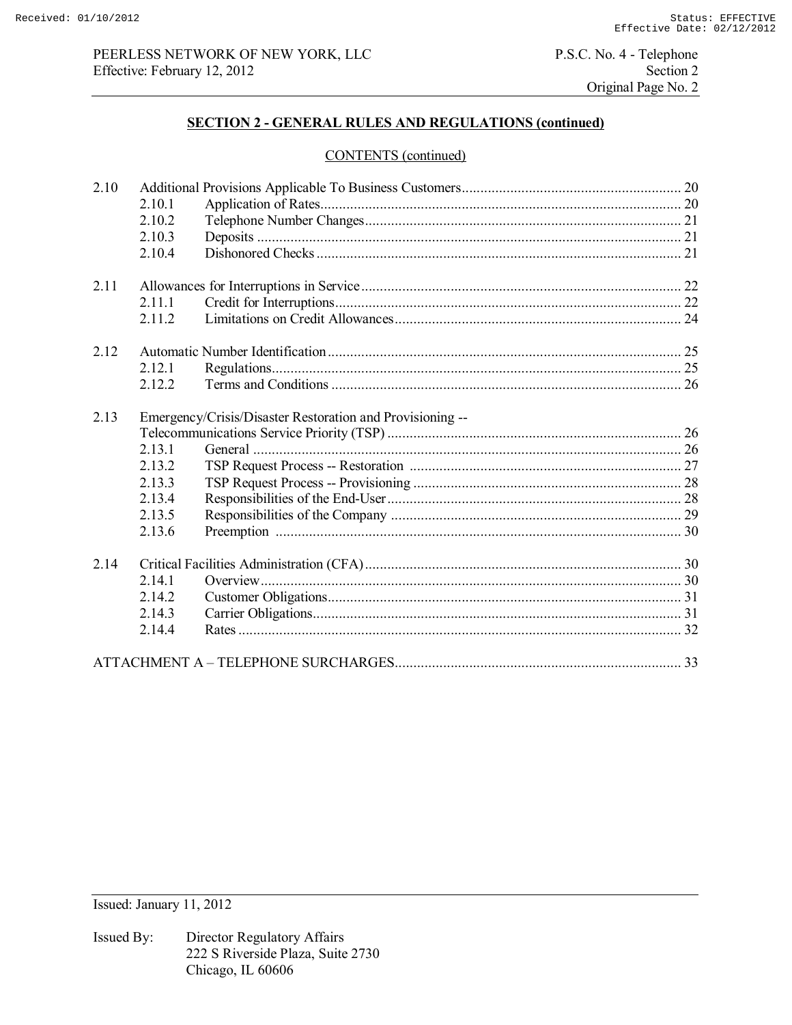# PEERLESS NETWORK OF NEW YORK, LLC<br>
P.S.C. No. 4 - Telephone<br>
Section 2<br>
Section 2 Effective: February 12, 2012

Original Page No. 2

# **SECTION 2 - GENERAL RULES AND REGULATIONS (continued)**

## CONTENTS (continued)

| 2.10 |         |                                                           |  |  |
|------|---------|-----------------------------------------------------------|--|--|
|      | 2.10.1  |                                                           |  |  |
|      | 2.10.2  |                                                           |  |  |
|      | 2.10.3  |                                                           |  |  |
|      | 2.10.4  |                                                           |  |  |
| 2.11 |         |                                                           |  |  |
|      | 2.11.1  |                                                           |  |  |
|      | 2.11.2  |                                                           |  |  |
| 2.12 |         |                                                           |  |  |
|      | 2 1 2 1 |                                                           |  |  |
|      | 2.12.2  |                                                           |  |  |
| 2.13 |         | Emergency/Crisis/Disaster Restoration and Provisioning -- |  |  |
|      |         |                                                           |  |  |
|      | 2.13.1  |                                                           |  |  |
|      | 2.13.2  |                                                           |  |  |
|      | 2.13.3  |                                                           |  |  |
|      | 2.13.4  |                                                           |  |  |
|      | 2.13.5  |                                                           |  |  |
|      | 2.13.6  |                                                           |  |  |
| 2.14 |         |                                                           |  |  |
|      | 2.14.1  |                                                           |  |  |
|      | 2.14.2  |                                                           |  |  |
|      | 2.14.3  |                                                           |  |  |
|      | 2.14.4  |                                                           |  |  |
|      |         |                                                           |  |  |
|      |         |                                                           |  |  |

Issued: January 11, 2012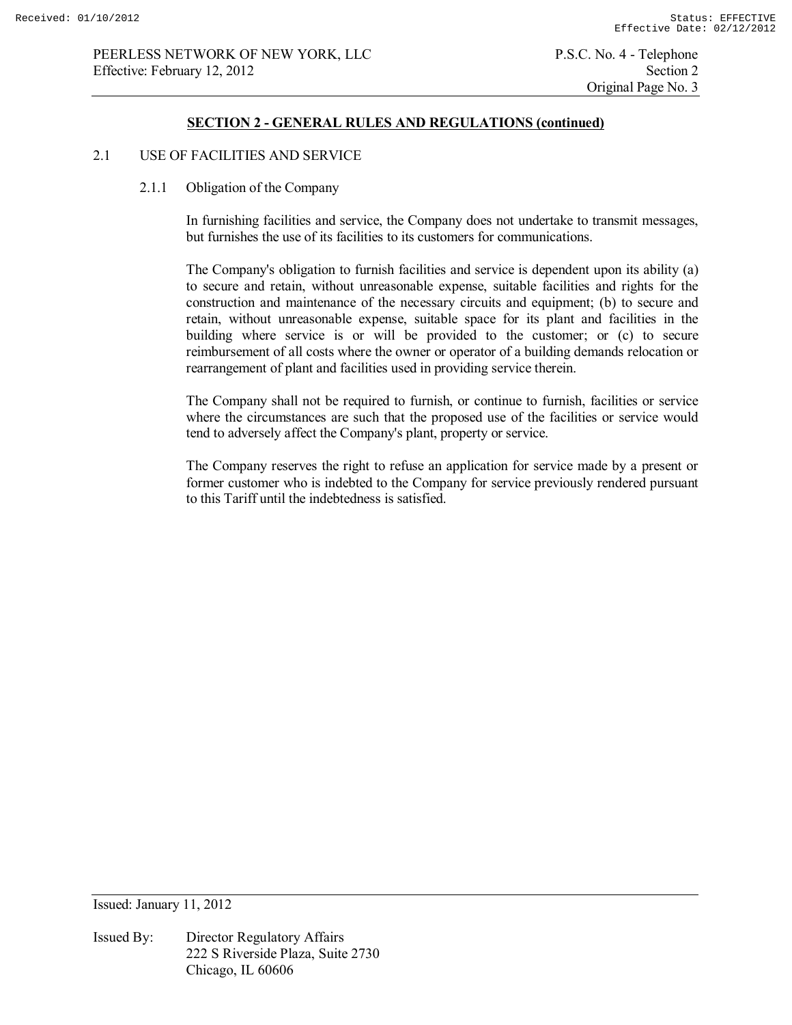#### **SECTION 2 - GENERAL RULES AND REGULATIONS (continued)**

## 2.1 USE OF FACILITIES AND SERVICE

2.1.1 Obligation of the Company

 In furnishing facilities and service, the Company does not undertake to transmit messages, but furnishes the use of its facilities to its customers for communications.

 The Company's obligation to furnish facilities and service is dependent upon its ability (a) to secure and retain, without unreasonable expense, suitable facilities and rights for the construction and maintenance of the necessary circuits and equipment; (b) to secure and retain, without unreasonable expense, suitable space for its plant and facilities in the building where service is or will be provided to the customer; or (c) to secure reimbursement of all costs where the owner or operator of a building demands relocation or rearrangement of plant and facilities used in providing service therein.

 The Company shall not be required to furnish, or continue to furnish, facilities or service where the circumstances are such that the proposed use of the facilities or service would tend to adversely affect the Company's plant, property or service.

 The Company reserves the right to refuse an application for service made by a present or former customer who is indebted to the Company for service previously rendered pursuant to this Tariff until the indebtedness is satisfied.

Issued: January 11, 2012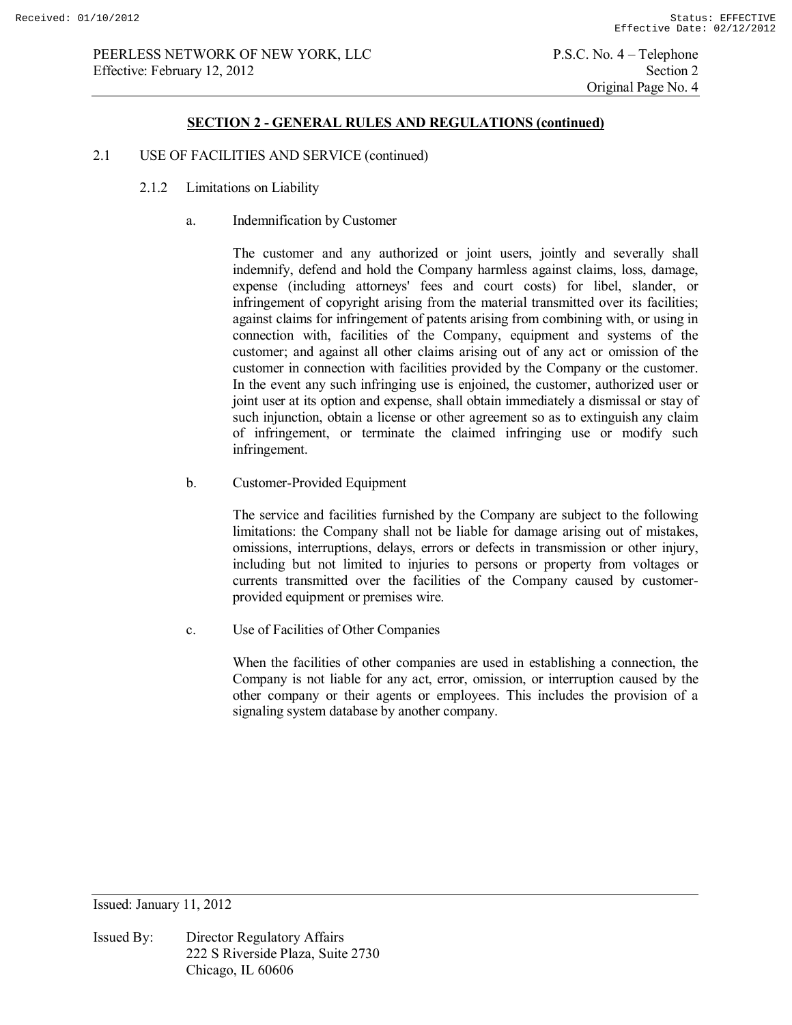## **SECTION 2 - GENERAL RULES AND REGULATIONS (continued)**

## 2.1 USE OF FACILITIES AND SERVICE (continued)

- 2.1.2 Limitations on Liability
	- a. Indemnification by Customer

 The customer and any authorized or joint users, jointly and severally shall indemnify, defend and hold the Company harmless against claims, loss, damage, expense (including attorneys' fees and court costs) for libel, slander, or infringement of copyright arising from the material transmitted over its facilities; against claims for infringement of patents arising from combining with, or using in connection with, facilities of the Company, equipment and systems of the customer; and against all other claims arising out of any act or omission of the customer in connection with facilities provided by the Company or the customer. In the event any such infringing use is enjoined, the customer, authorized user or joint user at its option and expense, shall obtain immediately a dismissal or stay of such injunction, obtain a license or other agreement so as to extinguish any claim of infringement, or terminate the claimed infringing use or modify such infringement.

b. Customer-Provided Equipment

 The service and facilities furnished by the Company are subject to the following limitations: the Company shall not be liable for damage arising out of mistakes, omissions, interruptions, delays, errors or defects in transmission or other injury, including but not limited to injuries to persons or property from voltages or currents transmitted over the facilities of the Company caused by customerprovided equipment or premises wire.

c. Use of Facilities of Other Companies

 When the facilities of other companies are used in establishing a connection, the Company is not liable for any act, error, omission, or interruption caused by the other company or their agents or employees. This includes the provision of a signaling system database by another company.

Issued: January 11, 2012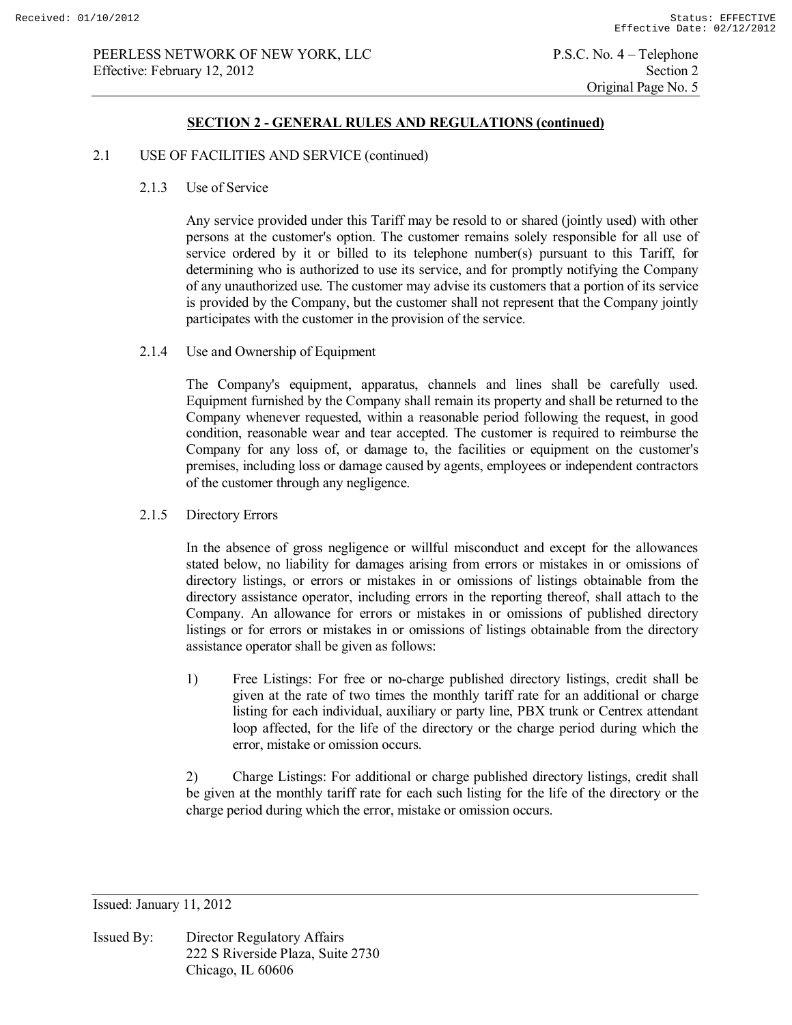#### 2.1 USE OF FACILITIES AND SERVICE (continued)

2.1.3 Use of Service

 Any service provided under this Tariff may be resold to or shared (jointly used) with other persons at the customer's option. The customer remains solely responsible for all use of service ordered by it or billed to its telephone number(s) pursuant to this Tariff, for determining who is authorized to use its service, and for promptly notifying the Company of any unauthorized use. The customer may advise its customers that a portion of its service is provided by the Company, but the customer shall not represent that the Company jointly participates with the customer in the provision of the service.

2.1.4 Use and Ownership of Equipment

 The Company's equipment, apparatus, channels and lines shall be carefully used. Equipment furnished by the Company shall remain its property and shall be returned to the Company whenever requested, within a reasonable period following the request, in good condition, reasonable wear and tear accepted. The customer is required to reimburse the Company for any loss of, or damage to, the facilities or equipment on the customer's premises, including loss or damage caused by agents, employees or independent contractors of the customer through any negligence.

2.1.5 Directory Errors

 In the absence of gross negligence or willful misconduct and except for the allowances stated below, no liability for damages arising from errors or mistakes in or omissions of directory listings, or errors or mistakes in or omissions of listings obtainable from the directory assistance operator, including errors in the reporting thereof, shall attach to the Company. An allowance for errors or mistakes in or omissions of published directory listings or for errors or mistakes in or omissions of listings obtainable from the directory assistance operator shall be given as follows:

 1) Free Listings: For free or no-charge published directory listings, credit shall be given at the rate of two times the monthly tariff rate for an additional or charge listing for each individual, auxiliary or party line, PBX trunk or Centrex attendant loop affected, for the life of the directory or the charge period during which the error, mistake or omission occurs.

 2) Charge Listings: For additional or charge published directory listings, credit shall be given at the monthly tariff rate for each such listing for the life of the directory or the charge period during which the error, mistake or omission occurs.

Issued: January 11, 2012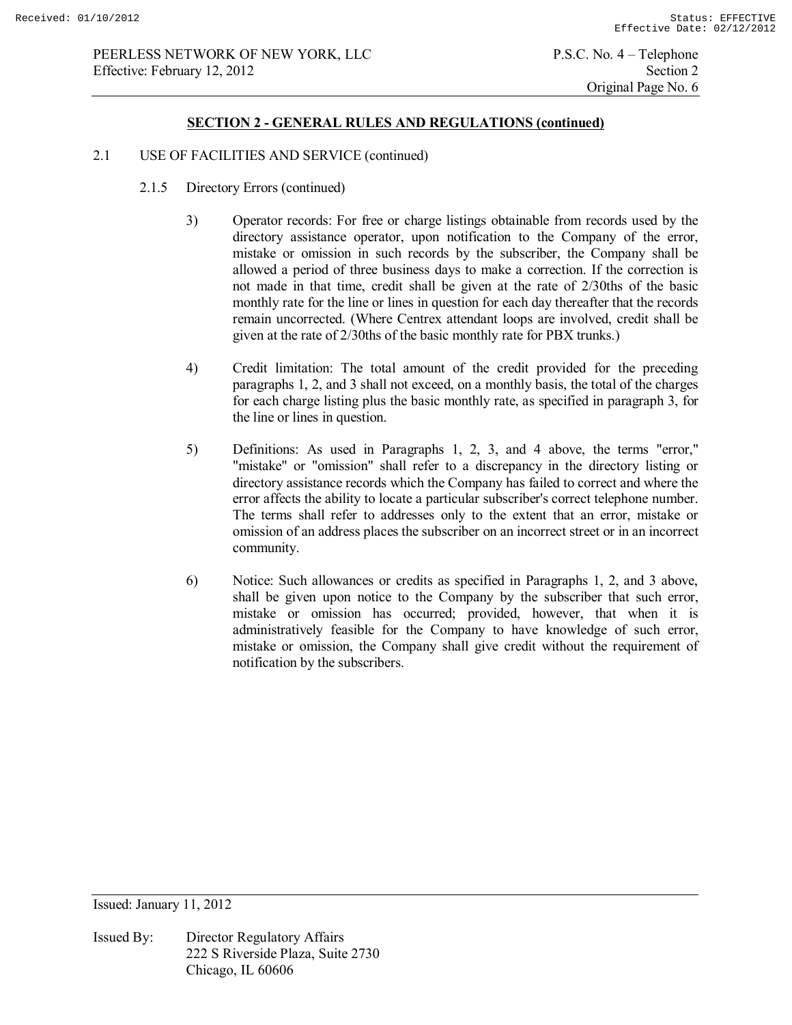#### 2.1 USE OF FACILITIES AND SERVICE (continued)

- 2.1.5 Directory Errors (continued)
	- 3) Operator records: For free or charge listings obtainable from records used by the directory assistance operator, upon notification to the Company of the error, mistake or omission in such records by the subscriber, the Company shall be allowed a period of three business days to make a correction. If the correction is not made in that time, credit shall be given at the rate of 2/30ths of the basic monthly rate for the line or lines in question for each day thereafter that the records remain uncorrected. (Where Centrex attendant loops are involved, credit shall be given at the rate of 2/30ths of the basic monthly rate for PBX trunks.)
	- 4) Credit limitation: The total amount of the credit provided for the preceding paragraphs 1, 2, and 3 shall not exceed, on a monthly basis, the total of the charges for each charge listing plus the basic monthly rate, as specified in paragraph 3, for the line or lines in question.
	- 5) Definitions: As used in Paragraphs 1, 2, 3, and 4 above, the terms "error," "mistake" or "omission" shall refer to a discrepancy in the directory listing or directory assistance records which the Company has failed to correct and where the error affects the ability to locate a particular subscriber's correct telephone number. The terms shall refer to addresses only to the extent that an error, mistake or omission of an address places the subscriber on an incorrect street or in an incorrect community.
	- 6) Notice: Such allowances or credits as specified in Paragraphs 1, 2, and 3 above, shall be given upon notice to the Company by the subscriber that such error, mistake or omission has occurred; provided, however, that when it is administratively feasible for the Company to have knowledge of such error, mistake or omission, the Company shall give credit without the requirement of notification by the subscribers.

Issued: January 11, 2012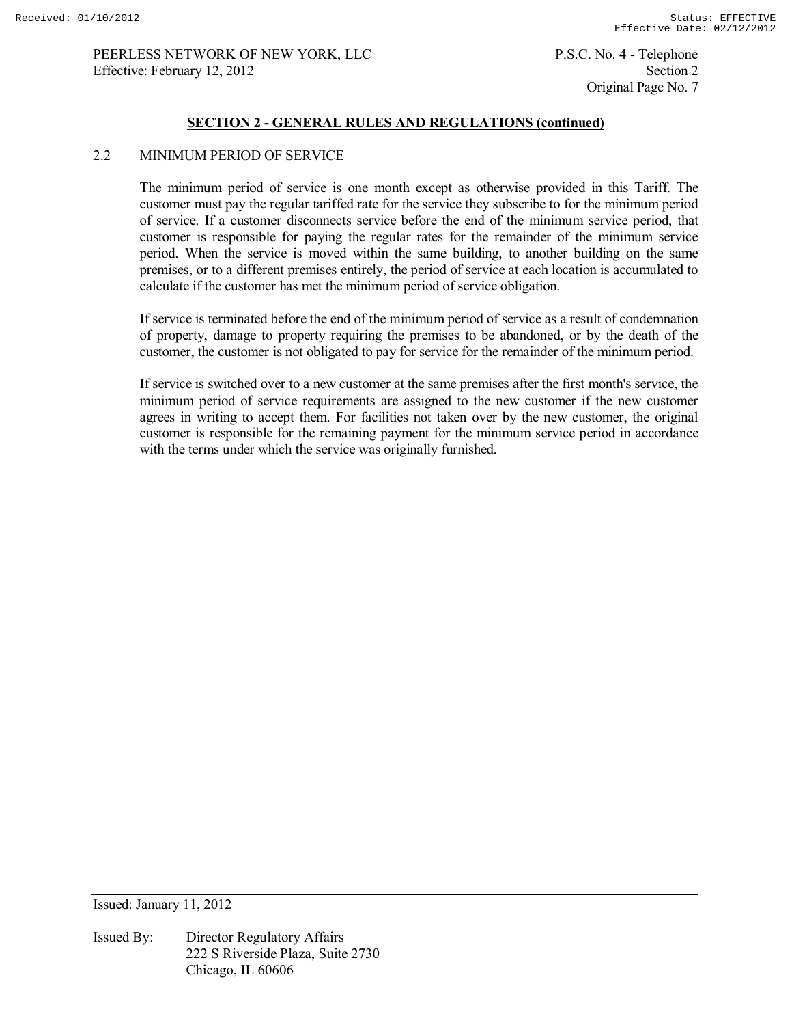Original Page No. 7

## **SECTION 2 - GENERAL RULES AND REGULATIONS (continued)**

#### 2.2 MINIMUM PERIOD OF SERVICE

 The minimum period of service is one month except as otherwise provided in this Tariff. The customer must pay the regular tariffed rate for the service they subscribe to for the minimum period of service. If a customer disconnects service before the end of the minimum service period, that customer is responsible for paying the regular rates for the remainder of the minimum service period. When the service is moved within the same building, to another building on the same premises, or to a different premises entirely, the period of service at each location is accumulated to calculate if the customer has met the minimum period of service obligation.

 If service is terminated before the end of the minimum period of service as a result of condemnation of property, damage to property requiring the premises to be abandoned, or by the death of the customer, the customer is not obligated to pay for service for the remainder of the minimum period.

 If service is switched over to a new customer at the same premises after the first month's service, the minimum period of service requirements are assigned to the new customer if the new customer agrees in writing to accept them. For facilities not taken over by the new customer, the original customer is responsible for the remaining payment for the minimum service period in accordance with the terms under which the service was originally furnished.

Issued: January 11, 2012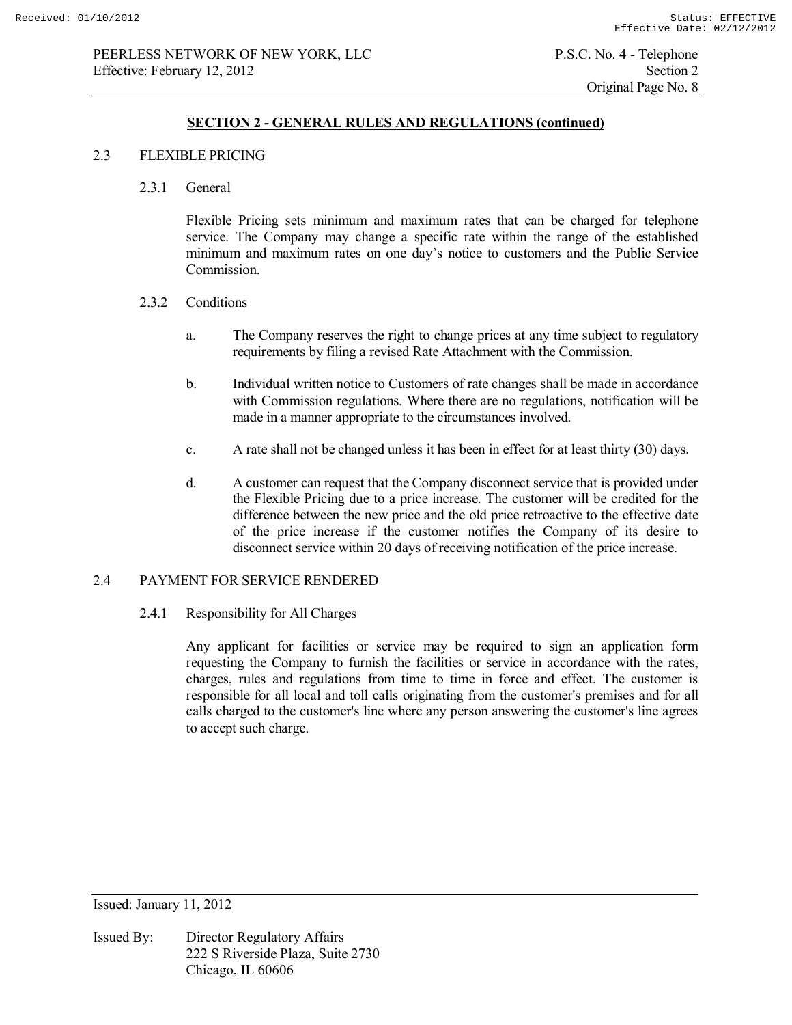## 2.3 FLEXIBLE PRICING

2.3.1 General

 Flexible Pricing sets minimum and maximum rates that can be charged for telephone service. The Company may change a specific rate within the range of the established minimum and maximum rates on one day's notice to customers and the Public Service Commission.

- 2.3.2 Conditions
	- a. The Company reserves the right to change prices at any time subject to regulatory requirements by filing a revised Rate Attachment with the Commission.
	- b. Individual written notice to Customers of rate changes shall be made in accordance with Commission regulations. Where there are no regulations, notification will be made in a manner appropriate to the circumstances involved.
	- c. A rate shall not be changed unless it has been in effect for at least thirty (30) days.
	- d. A customer can request that the Company disconnect service that is provided under the Flexible Pricing due to a price increase. The customer will be credited for the difference between the new price and the old price retroactive to the effective date of the price increase if the customer notifies the Company of its desire to disconnect service within 20 days of receiving notification of the price increase.

## 2.4 PAYMENT FOR SERVICE RENDERED

## 2.4.1 Responsibility for All Charges

 Any applicant for facilities or service may be required to sign an application form requesting the Company to furnish the facilities or service in accordance with the rates, charges, rules and regulations from time to time in force and effect. The customer is responsible for all local and toll calls originating from the customer's premises and for all calls charged to the customer's line where any person answering the customer's line agrees to accept such charge.

Issued: January 11, 2012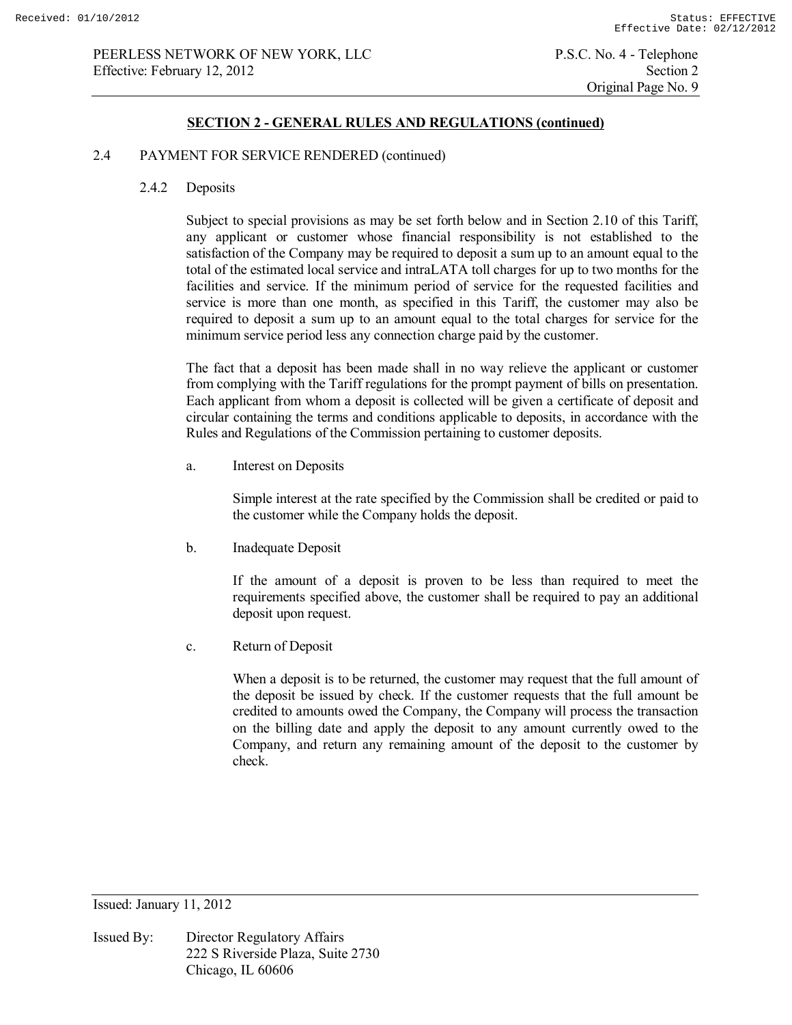#### 2.4 PAYMENT FOR SERVICE RENDERED (continued)

2.4.2 Deposits

 Subject to special provisions as may be set forth below and in Section 2.10 of this Tariff, any applicant or customer whose financial responsibility is not established to the satisfaction of the Company may be required to deposit a sum up to an amount equal to the total of the estimated local service and intraLATA toll charges for up to two months for the facilities and service. If the minimum period of service for the requested facilities and service is more than one month, as specified in this Tariff, the customer may also be required to deposit a sum up to an amount equal to the total charges for service for the minimum service period less any connection charge paid by the customer.

 The fact that a deposit has been made shall in no way relieve the applicant or customer from complying with the Tariff regulations for the prompt payment of bills on presentation. Each applicant from whom a deposit is collected will be given a certificate of deposit and circular containing the terms and conditions applicable to deposits, in accordance with the Rules and Regulations of the Commission pertaining to customer deposits.

a. Interest on Deposits

 Simple interest at the rate specified by the Commission shall be credited or paid to the customer while the Company holds the deposit.

b. Inadequate Deposit

 If the amount of a deposit is proven to be less than required to meet the requirements specified above, the customer shall be required to pay an additional deposit upon request.

c. Return of Deposit

 When a deposit is to be returned, the customer may request that the full amount of the deposit be issued by check. If the customer requests that the full amount be credited to amounts owed the Company, the Company will process the transaction on the billing date and apply the deposit to any amount currently owed to the Company, and return any remaining amount of the deposit to the customer by check.

Issued: January 11, 2012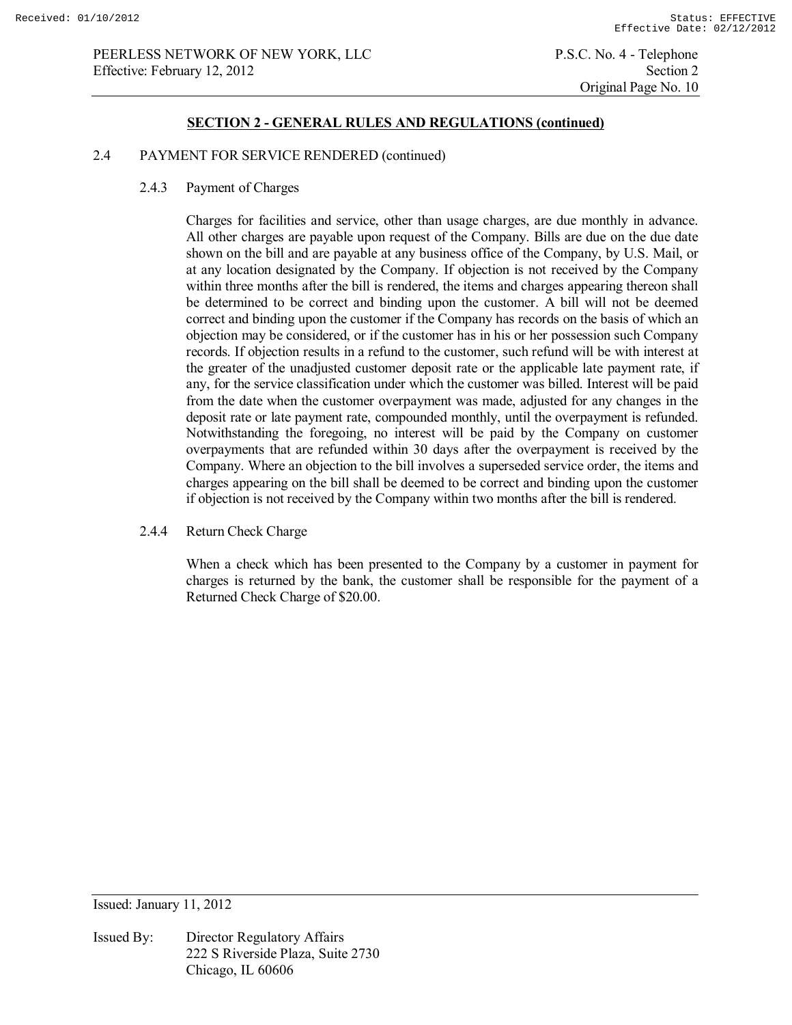Original Page No. 10

## **SECTION 2 - GENERAL RULES AND REGULATIONS (continued)**

## 2.4 PAYMENT FOR SERVICE RENDERED (continued)

2.4.3 Payment of Charges

 Charges for facilities and service, other than usage charges, are due monthly in advance. All other charges are payable upon request of the Company. Bills are due on the due date shown on the bill and are payable at any business office of the Company, by U.S. Mail, or at any location designated by the Company. If objection is not received by the Company within three months after the bill is rendered, the items and charges appearing thereon shall be determined to be correct and binding upon the customer. A bill will not be deemed correct and binding upon the customer if the Company has records on the basis of which an objection may be considered, or if the customer has in his or her possession such Company records. If objection results in a refund to the customer, such refund will be with interest at the greater of the unadjusted customer deposit rate or the applicable late payment rate, if any, for the service classification under which the customer was billed. Interest will be paid from the date when the customer overpayment was made, adjusted for any changes in the deposit rate or late payment rate, compounded monthly, until the overpayment is refunded. Notwithstanding the foregoing, no interest will be paid by the Company on customer overpayments that are refunded within 30 days after the overpayment is received by the Company. Where an objection to the bill involves a superseded service order, the items and charges appearing on the bill shall be deemed to be correct and binding upon the customer if objection is not received by the Company within two months after the bill is rendered.

2.4.4 Return Check Charge

When a check which has been presented to the Company by a customer in payment for charges is returned by the bank, the customer shall be responsible for the payment of a Returned Check Charge of \$20.00.

Issued: January 11, 2012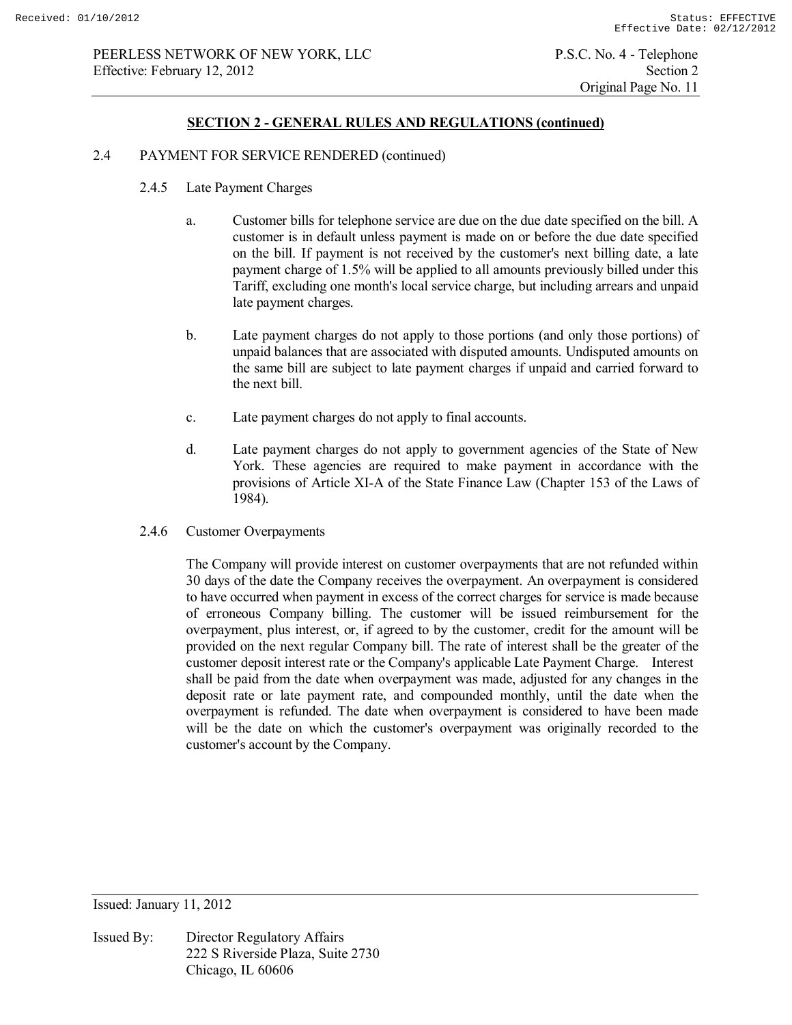## 2.4 PAYMENT FOR SERVICE RENDERED (continued)

- 2.4.5 Late Payment Charges
	- a. Customer bills for telephone service are due on the due date specified on the bill. A customer is in default unless payment is made on or before the due date specified on the bill. If payment is not received by the customer's next billing date, a late payment charge of 1.5% will be applied to all amounts previously billed under this Tariff, excluding one month's local service charge, but including arrears and unpaid late payment charges.
	- b. Late payment charges do not apply to those portions (and only those portions) of unpaid balances that are associated with disputed amounts. Undisputed amounts on the same bill are subject to late payment charges if unpaid and carried forward to the next bill.
	- c. Late payment charges do not apply to final accounts.
	- d. Late payment charges do not apply to government agencies of the State of New York. These agencies are required to make payment in accordance with the provisions of Article XI-A of the State Finance Law (Chapter 153 of the Laws of 1984).
- 2.4.6 Customer Overpayments

 The Company will provide interest on customer overpayments that are not refunded within 30 days of the date the Company receives the overpayment. An overpayment is considered to have occurred when payment in excess of the correct charges for service is made because of erroneous Company billing. The customer will be issued reimbursement for the overpayment, plus interest, or, if agreed to by the customer, credit for the amount will be provided on the next regular Company bill. The rate of interest shall be the greater of the customer deposit interest rate or the Company's applicable Late Payment Charge. Interest shall be paid from the date when overpayment was made, adjusted for any changes in the deposit rate or late payment rate, and compounded monthly, until the date when the overpayment is refunded. The date when overpayment is considered to have been made will be the date on which the customer's overpayment was originally recorded to the customer's account by the Company.

Issued: January 11, 2012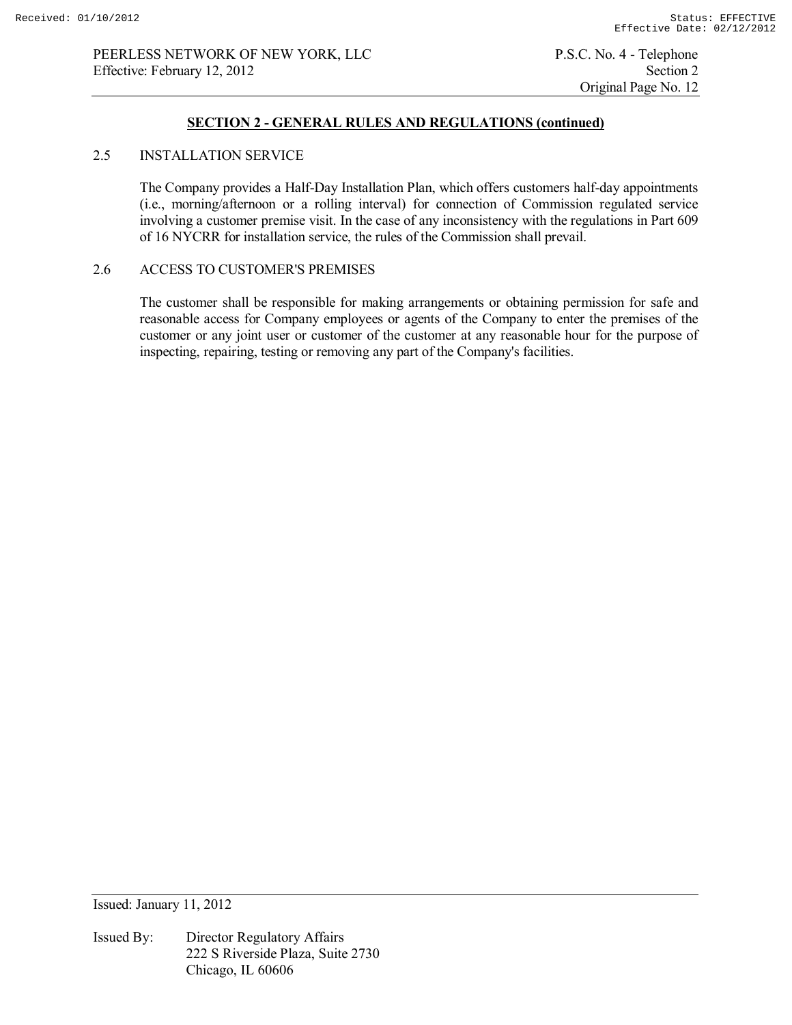## **SECTION 2 - GENERAL RULES AND REGULATIONS (continued)**

## 2.5 INSTALLATION SERVICE

 The Company provides a Half-Day Installation Plan, which offers customers half-day appointments (i.e., morning/afternoon or a rolling interval) for connection of Commission regulated service involving a customer premise visit. In the case of any inconsistency with the regulations in Part 609 of 16 NYCRR for installation service, the rules of the Commission shall prevail.

# 2.6 ACCESS TO CUSTOMER'S PREMISES

 The customer shall be responsible for making arrangements or obtaining permission for safe and reasonable access for Company employees or agents of the Company to enter the premises of the customer or any joint user or customer of the customer at any reasonable hour for the purpose of inspecting, repairing, testing or removing any part of the Company's facilities.

Issued: January 11, 2012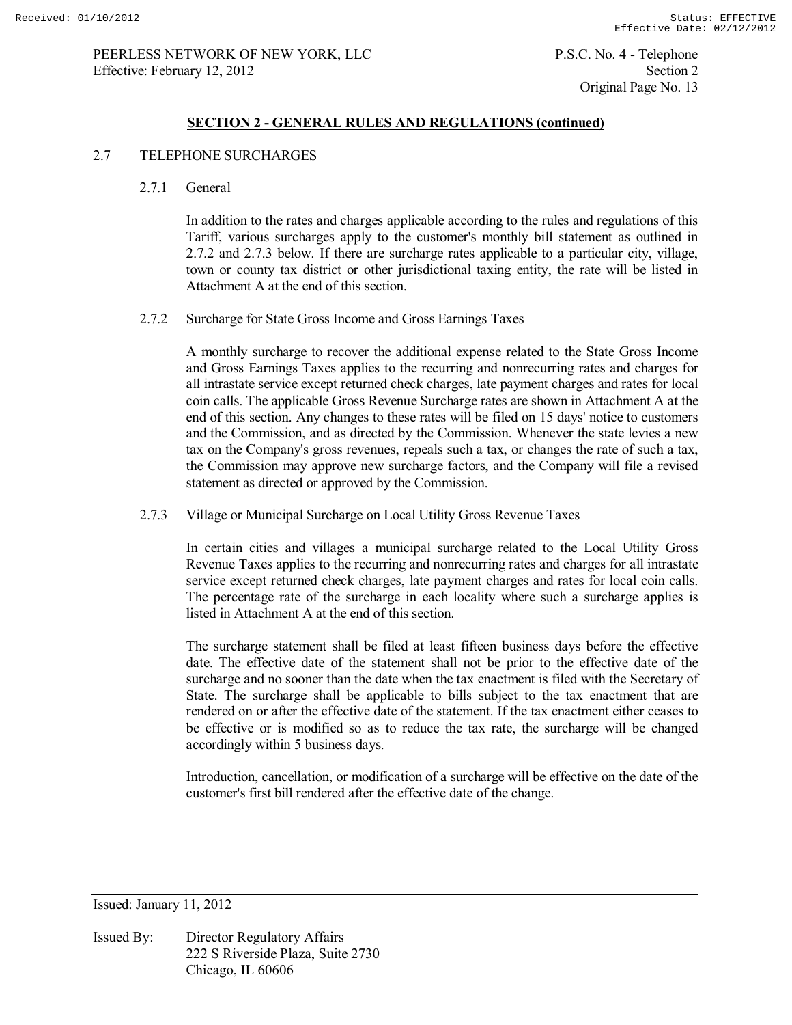#### **SECTION 2 - GENERAL RULES AND REGULATIONS (continued)**

#### 2.7 TELEPHONE SURCHARGES

#### 2.7.1 General

 In addition to the rates and charges applicable according to the rules and regulations of this Tariff, various surcharges apply to the customer's monthly bill statement as outlined in 2.7.2 and 2.7.3 below. If there are surcharge rates applicable to a particular city, village, town or county tax district or other jurisdictional taxing entity, the rate will be listed in Attachment A at the end of this section.

#### 2.7.2 Surcharge for State Gross Income and Gross Earnings Taxes

 A monthly surcharge to recover the additional expense related to the State Gross Income and Gross Earnings Taxes applies to the recurring and nonrecurring rates and charges for all intrastate service except returned check charges, late payment charges and rates for local coin calls. The applicable Gross Revenue Surcharge rates are shown in Attachment A at the end of this section. Any changes to these rates will be filed on 15 days' notice to customers and the Commission, and as directed by the Commission. Whenever the state levies a new tax on the Company's gross revenues, repeals such a tax, or changes the rate of such a tax, the Commission may approve new surcharge factors, and the Company will file a revised statement as directed or approved by the Commission.

# 2.7.3 Village or Municipal Surcharge on Local Utility Gross Revenue Taxes

 In certain cities and villages a municipal surcharge related to the Local Utility Gross Revenue Taxes applies to the recurring and nonrecurring rates and charges for all intrastate service except returned check charges, late payment charges and rates for local coin calls. The percentage rate of the surcharge in each locality where such a surcharge applies is listed in Attachment A at the end of this section.

 The surcharge statement shall be filed at least fifteen business days before the effective date. The effective date of the statement shall not be prior to the effective date of the surcharge and no sooner than the date when the tax enactment is filed with the Secretary of State. The surcharge shall be applicable to bills subject to the tax enactment that are rendered on or after the effective date of the statement. If the tax enactment either ceases to be effective or is modified so as to reduce the tax rate, the surcharge will be changed accordingly within 5 business days.

 Introduction, cancellation, or modification of a surcharge will be effective on the date of the customer's first bill rendered after the effective date of the change.

Issued: January 11, 2012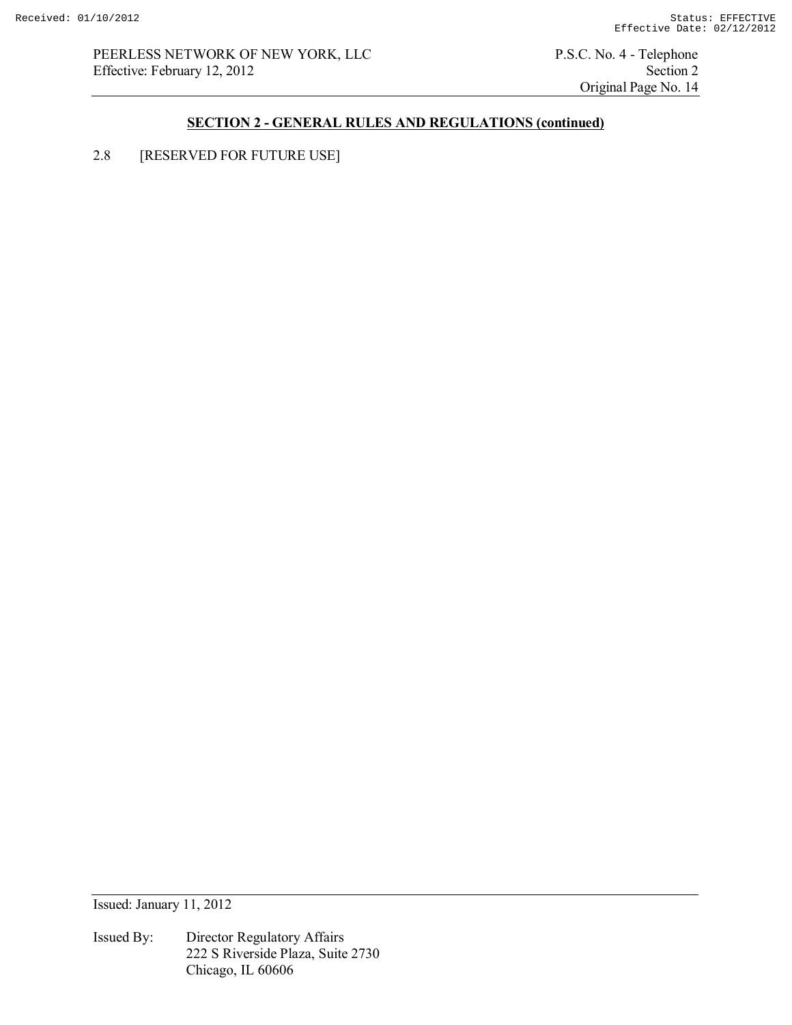PEERLESS NETWORK OF NEW YORK, LLC<br>
P.S.C. No. 4 - Telephone<br>
Section 2<br>
Section 2 Effective: February 12, 2012

Original Page No. 14

# **SECTION 2 - GENERAL RULES AND REGULATIONS (continued)**

2.8 [RESERVED FOR FUTURE USE]

Issued: January 11, 2012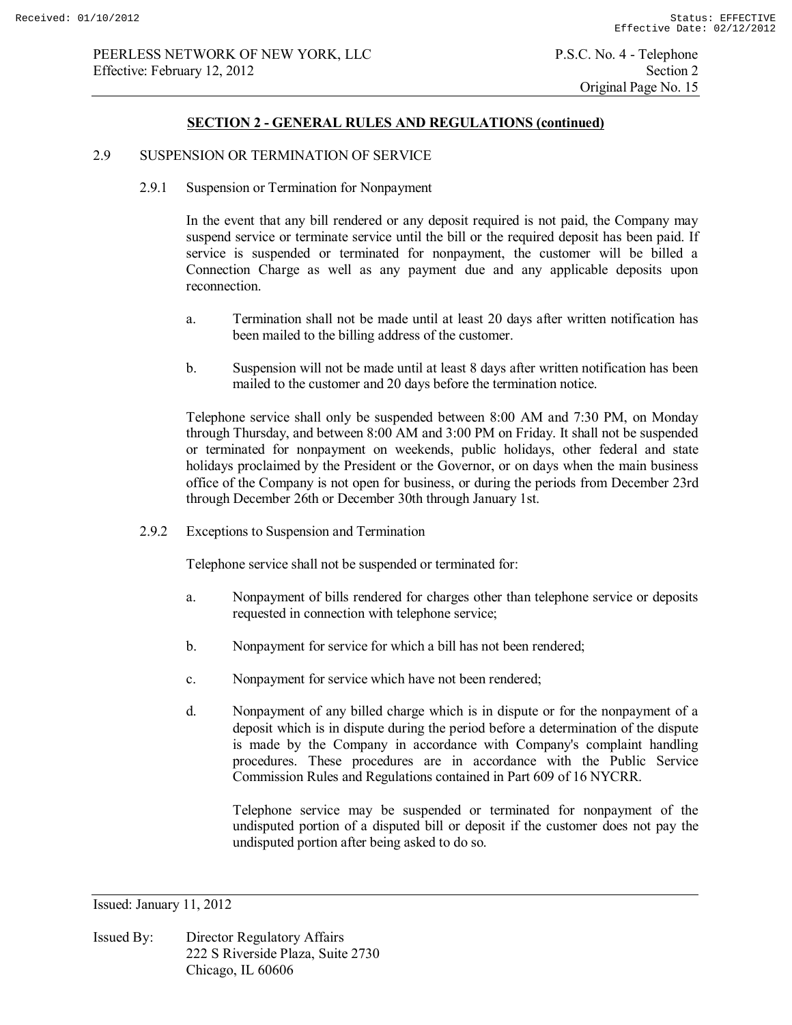#### 2.9 SUSPENSION OR TERMINATION OF SERVICE

2.9.1 Suspension or Termination for Nonpayment

 In the event that any bill rendered or any deposit required is not paid, the Company may suspend service or terminate service until the bill or the required deposit has been paid. If service is suspended or terminated for nonpayment, the customer will be billed a Connection Charge as well as any payment due and any applicable deposits upon reconnection.

- a. Termination shall not be made until at least 20 days after written notification has been mailed to the billing address of the customer.
- b. Suspension will not be made until at least 8 days after written notification has been mailed to the customer and 20 days before the termination notice.

 Telephone service shall only be suspended between 8:00 AM and 7:30 PM, on Monday through Thursday, and between 8:00 AM and 3:00 PM on Friday. It shall not be suspended or terminated for nonpayment on weekends, public holidays, other federal and state holidays proclaimed by the President or the Governor, or on days when the main business office of the Company is not open for business, or during the periods from December 23rd through December 26th or December 30th through January 1st.

2.9.2 Exceptions to Suspension and Termination

Telephone service shall not be suspended or terminated for:

- a. Nonpayment of bills rendered for charges other than telephone service or deposits requested in connection with telephone service;
- b. Nonpayment for service for which a bill has not been rendered;
- c. Nonpayment for service which have not been rendered;
- d. Nonpayment of any billed charge which is in dispute or for the nonpayment of a deposit which is in dispute during the period before a determination of the dispute is made by the Company in accordance with Company's complaint handling procedures. These procedures are in accordance with the Public Service Commission Rules and Regulations contained in Part 609 of 16 NYCRR.

 Telephone service may be suspended or terminated for nonpayment of the undisputed portion of a disputed bill or deposit if the customer does not pay the undisputed portion after being asked to do so.

Issued: January 11, 2012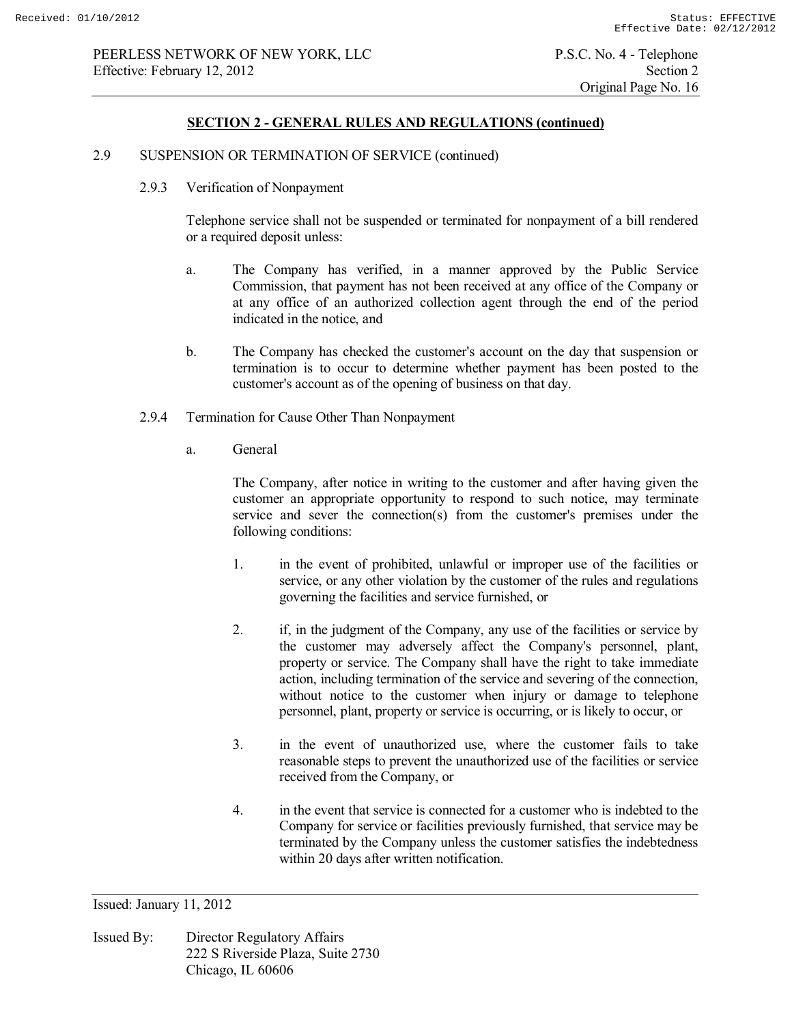### **SECTION 2 - GENERAL RULES AND REGULATIONS (continued)**

#### 2.9 SUSPENSION OR TERMINATION OF SERVICE (continued)

2.9.3 Verification of Nonpayment

 Telephone service shall not be suspended or terminated for nonpayment of a bill rendered or a required deposit unless:

- a. The Company has verified, in a manner approved by the Public Service Commission, that payment has not been received at any office of the Company or at any office of an authorized collection agent through the end of the period indicated in the notice, and
- b. The Company has checked the customer's account on the day that suspension or termination is to occur to determine whether payment has been posted to the customer's account as of the opening of business on that day.
- 2.9.4 Termination for Cause Other Than Nonpayment
	- a. General

 The Company, after notice in writing to the customer and after having given the customer an appropriate opportunity to respond to such notice, may terminate service and sever the connection(s) from the customer's premises under the following conditions:

- 1. in the event of prohibited, unlawful or improper use of the facilities or service, or any other violation by the customer of the rules and regulations governing the facilities and service furnished, or
- 2. if, in the judgment of the Company, any use of the facilities or service by the customer may adversely affect the Company's personnel, plant, property or service. The Company shall have the right to take immediate action, including termination of the service and severing of the connection, without notice to the customer when injury or damage to telephone personnel, plant, property or service is occurring, or is likely to occur, or
- 3. in the event of unauthorized use, where the customer fails to take reasonable steps to prevent the unauthorized use of the facilities or service received from the Company, or
- 4. in the event that service is connected for a customer who is indebted to the Company for service or facilities previously furnished, that service may be terminated by the Company unless the customer satisfies the indebtedness within 20 days after written notification.

Issued: January 11, 2012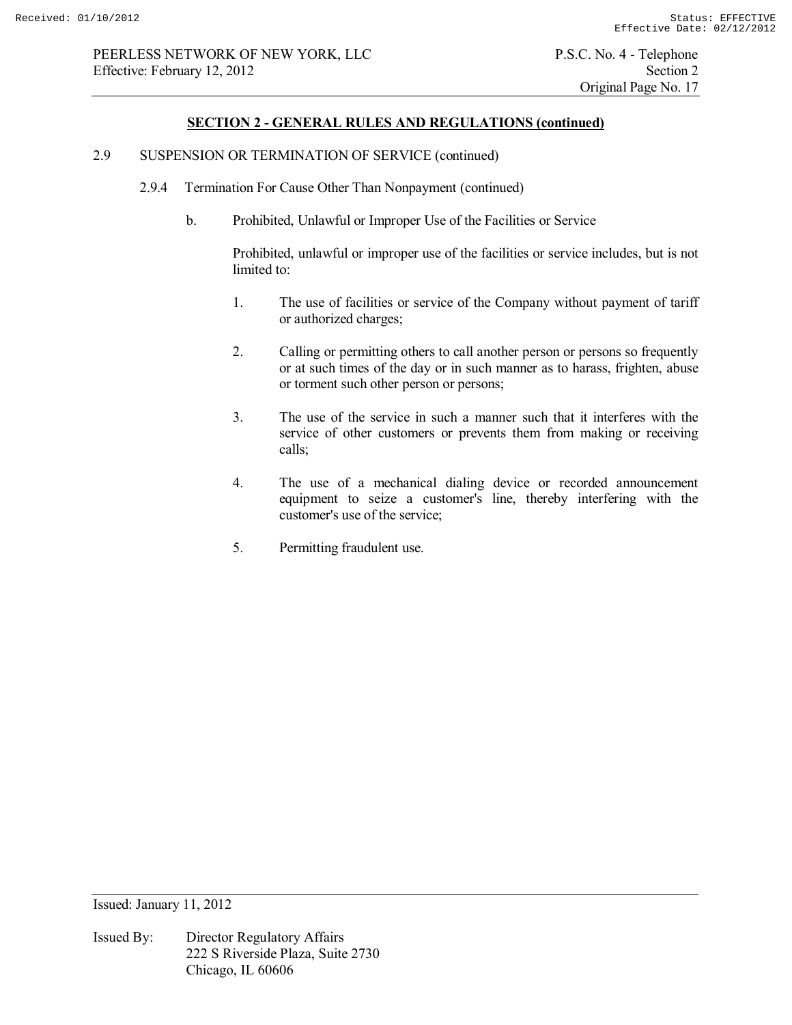## 2.9 SUSPENSION OR TERMINATION OF SERVICE (continued)

- 2.9.4 Termination For Cause Other Than Nonpayment (continued)
	- b. Prohibited, Unlawful or Improper Use of the Facilities or Service

 Prohibited, unlawful or improper use of the facilities or service includes, but is not limited to:

- 1. The use of facilities or service of the Company without payment of tariff or authorized charges;
- 2. Calling or permitting others to call another person or persons so frequently or at such times of the day or in such manner as to harass, frighten, abuse or torment such other person or persons;
- 3. The use of the service in such a manner such that it interferes with the service of other customers or prevents them from making or receiving calls;
- 4. The use of a mechanical dialing device or recorded announcement equipment to seize a customer's line, thereby interfering with the customer's use of the service;
- 5. Permitting fraudulent use.

Issued: January 11, 2012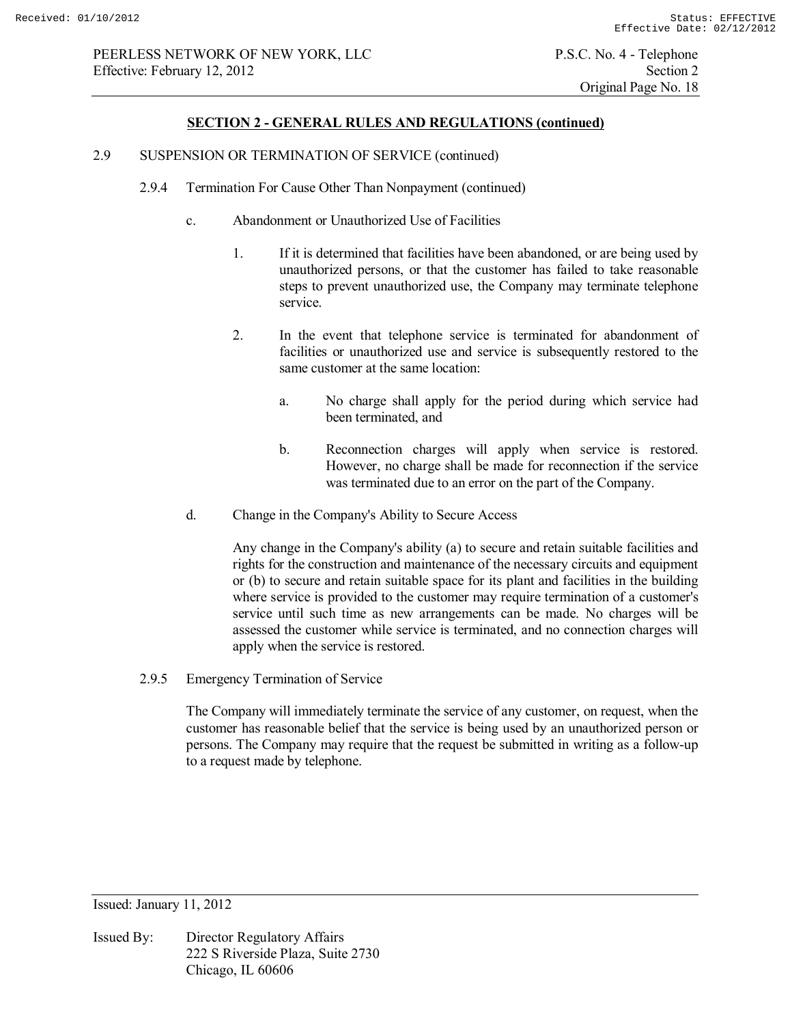#### 2.9 SUSPENSION OR TERMINATION OF SERVICE (continued)

- 2.9.4 Termination For Cause Other Than Nonpayment (continued)
	- c. Abandonment or Unauthorized Use of Facilities
		- 1. If it is determined that facilities have been abandoned, or are being used by unauthorized persons, or that the customer has failed to take reasonable steps to prevent unauthorized use, the Company may terminate telephone service.
		- 2. In the event that telephone service is terminated for abandonment of facilities or unauthorized use and service is subsequently restored to the same customer at the same location:
			- a. No charge shall apply for the period during which service had been terminated, and
			- b. Reconnection charges will apply when service is restored. However, no charge shall be made for reconnection if the service was terminated due to an error on the part of the Company.
	- d. Change in the Company's Ability to Secure Access

 Any change in the Company's ability (a) to secure and retain suitable facilities and rights for the construction and maintenance of the necessary circuits and equipment or (b) to secure and retain suitable space for its plant and facilities in the building where service is provided to the customer may require termination of a customer's service until such time as new arrangements can be made. No charges will be assessed the customer while service is terminated, and no connection charges will apply when the service is restored.

2.9.5 Emergency Termination of Service

 The Company will immediately terminate the service of any customer, on request, when the customer has reasonable belief that the service is being used by an unauthorized person or persons. The Company may require that the request be submitted in writing as a follow-up to a request made by telephone.

Issued: January 11, 2012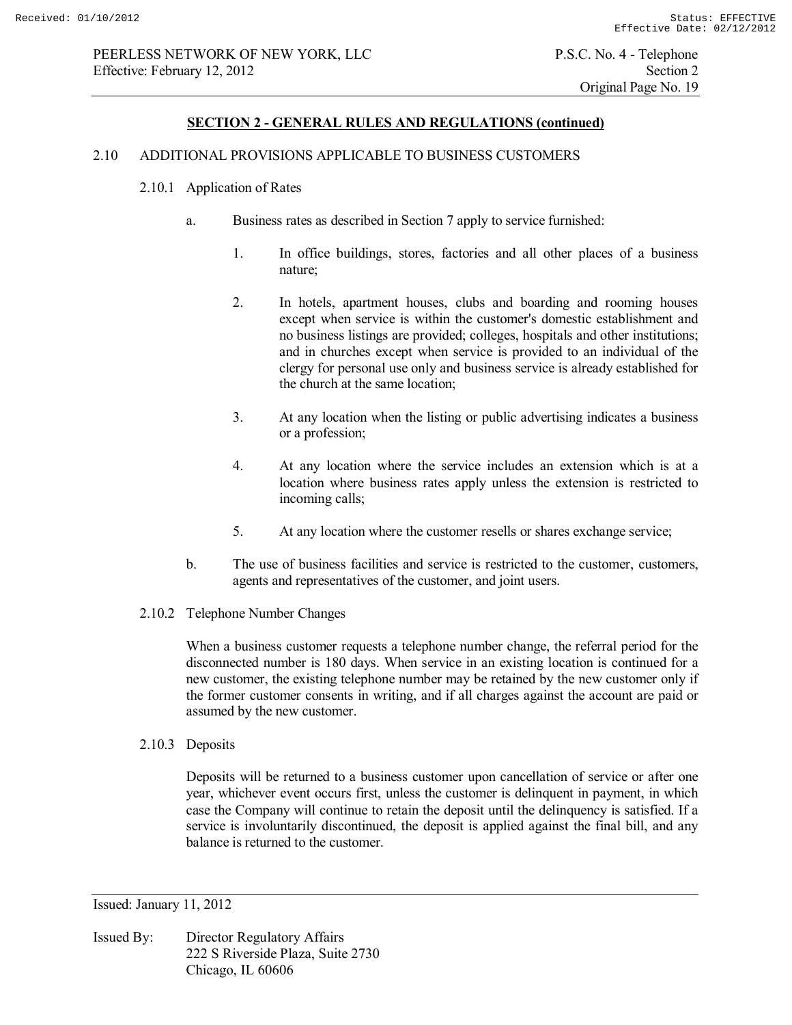#### 2.10 ADDITIONAL PROVISIONS APPLICABLE TO BUSINESS CUSTOMERS

#### 2.10.1 Application of Rates

- a. Business rates as described in Section 7 apply to service furnished:
	- 1. In office buildings, stores, factories and all other places of a business nature;
	- 2. In hotels, apartment houses, clubs and boarding and rooming houses except when service is within the customer's domestic establishment and no business listings are provided; colleges, hospitals and other institutions; and in churches except when service is provided to an individual of the clergy for personal use only and business service is already established for the church at the same location;
	- 3. At any location when the listing or public advertising indicates a business or a profession;
	- 4. At any location where the service includes an extension which is at a location where business rates apply unless the extension is restricted to incoming calls;
	- 5. At any location where the customer resells or shares exchange service;
- b. The use of business facilities and service is restricted to the customer, customers, agents and representatives of the customer, and joint users.
- 2.10.2 Telephone Number Changes

 When a business customer requests a telephone number change, the referral period for the disconnected number is 180 days. When service in an existing location is continued for a new customer, the existing telephone number may be retained by the new customer only if the former customer consents in writing, and if all charges against the account are paid or assumed by the new customer.

2.10.3 Deposits

 Deposits will be returned to a business customer upon cancellation of service or after one year, whichever event occurs first, unless the customer is delinquent in payment, in which case the Company will continue to retain the deposit until the delinquency is satisfied. If a service is involuntarily discontinued, the deposit is applied against the final bill, and any balance is returned to the customer.

Issued: January 11, 2012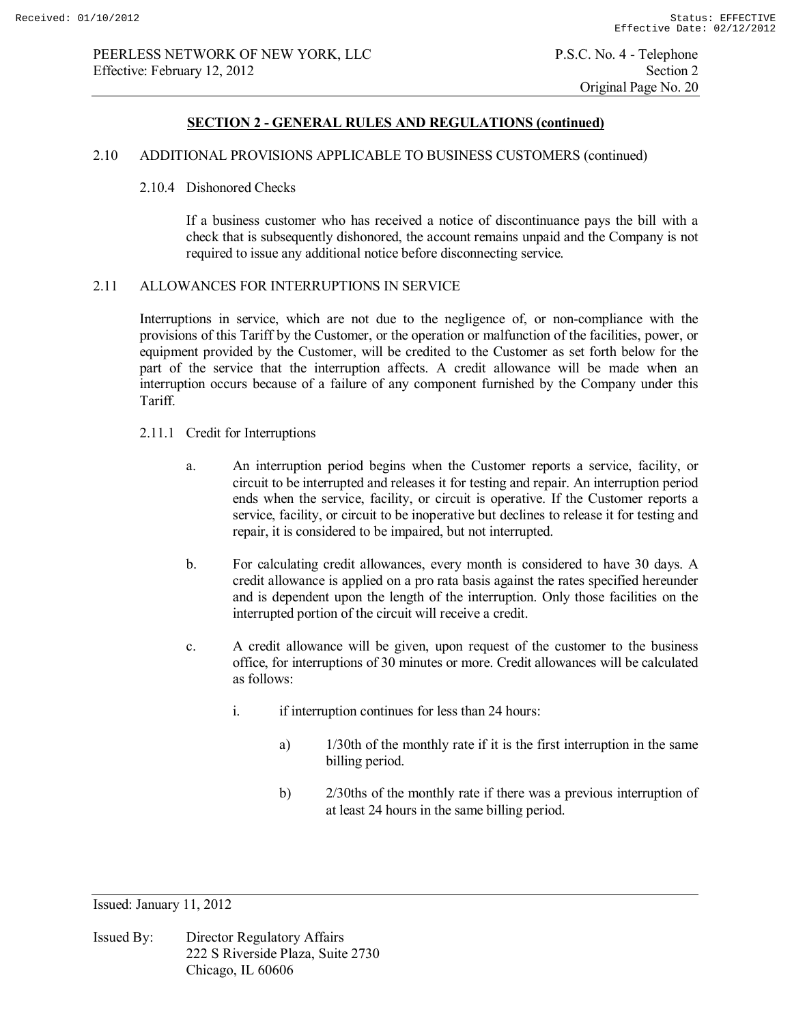## 2.10 ADDITIONAL PROVISIONS APPLICABLE TO BUSINESS CUSTOMERS (continued)

#### 2.10.4 Dishonored Checks

 If a business customer who has received a notice of discontinuance pays the bill with a check that is subsequently dishonored, the account remains unpaid and the Company is not required to issue any additional notice before disconnecting service.

### 2.11 ALLOWANCES FOR INTERRUPTIONS IN SERVICE

 Interruptions in service, which are not due to the negligence of, or non-compliance with the provisions of this Tariff by the Customer, or the operation or malfunction of the facilities, power, or equipment provided by the Customer, will be credited to the Customer as set forth below for the part of the service that the interruption affects. A credit allowance will be made when an interruption occurs because of a failure of any component furnished by the Company under this Tariff.

- 2.11.1 Credit for Interruptions
	- a. An interruption period begins when the Customer reports a service, facility, or circuit to be interrupted and releases it for testing and repair. An interruption period ends when the service, facility, or circuit is operative. If the Customer reports a service, facility, or circuit to be inoperative but declines to release it for testing and repair, it is considered to be impaired, but not interrupted.
	- b. For calculating credit allowances, every month is considered to have 30 days. A credit allowance is applied on a pro rata basis against the rates specified hereunder and is dependent upon the length of the interruption. Only those facilities on the interrupted portion of the circuit will receive a credit.
	- c. A credit allowance will be given, upon request of the customer to the business office, for interruptions of 30 minutes or more. Credit allowances will be calculated as follows:
		- i. if interruption continues for less than 24 hours:
			- a) 1/30th of the monthly rate if it is the first interruption in the same billing period.
			- b) 2/30ths of the monthly rate if there was a previous interruption of at least 24 hours in the same billing period.

Issued: January 11, 2012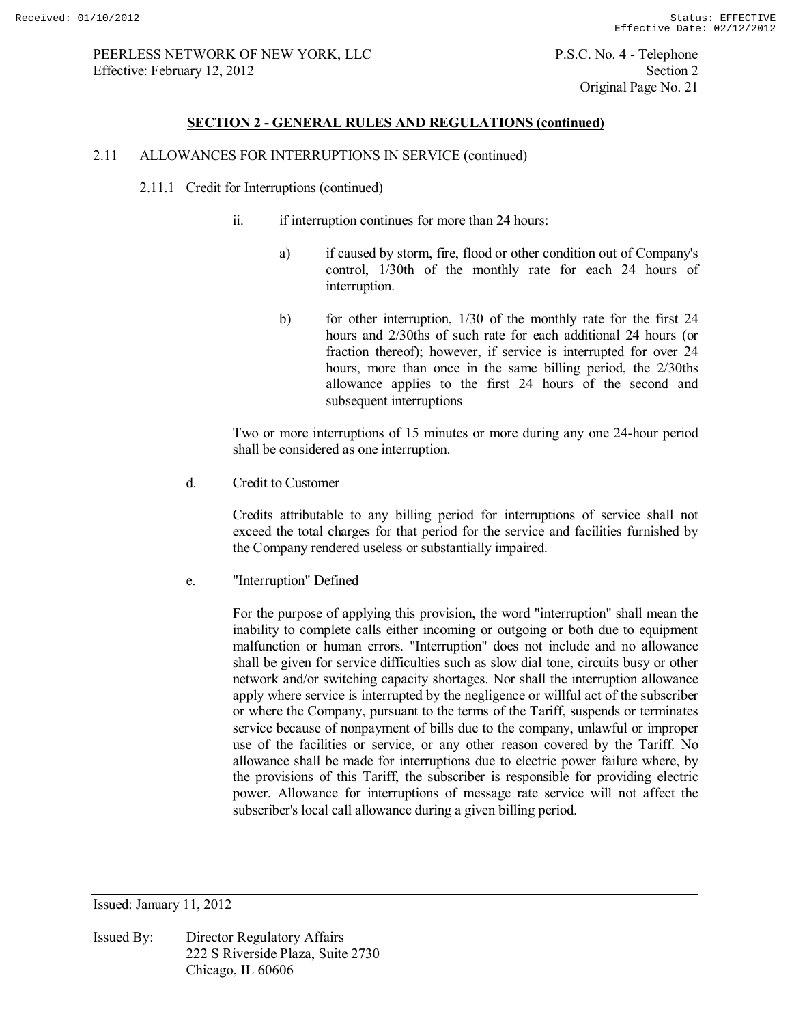#### **SECTION 2 - GENERAL RULES AND REGULATIONS (continued)**

#### 2.11 ALLOWANCES FOR INTERRUPTIONS IN SERVICE (continued)

- 2.11.1 Credit for Interruptions (continued)
	- ii. if interruption continues for more than 24 hours:
		- a) if caused by storm, fire, flood or other condition out of Company's control, 1/30th of the monthly rate for each 24 hours of interruption.
		- b) for other interruption, 1/30 of the monthly rate for the first 24 hours and 2/30ths of such rate for each additional 24 hours (or fraction thereof); however, if service is interrupted for over 24 hours, more than once in the same billing period, the 2/30ths allowance applies to the first 24 hours of the second and subsequent interruptions

 Two or more interruptions of 15 minutes or more during any one 24-hour period shall be considered as one interruption.

d. Credit to Customer

 Credits attributable to any billing period for interruptions of service shall not exceed the total charges for that period for the service and facilities furnished by the Company rendered useless or substantially impaired.

e. "Interruption" Defined

 For the purpose of applying this provision, the word "interruption" shall mean the inability to complete calls either incoming or outgoing or both due to equipment malfunction or human errors. "Interruption" does not include and no allowance shall be given for service difficulties such as slow dial tone, circuits busy or other network and/or switching capacity shortages. Nor shall the interruption allowance apply where service is interrupted by the negligence or willful act of the subscriber or where the Company, pursuant to the terms of the Tariff, suspends or terminates service because of nonpayment of bills due to the company, unlawful or improper use of the facilities or service, or any other reason covered by the Tariff. No allowance shall be made for interruptions due to electric power failure where, by the provisions of this Tariff, the subscriber is responsible for providing electric power. Allowance for interruptions of message rate service will not affect the subscriber's local call allowance during a given billing period.

Issued: January 11, 2012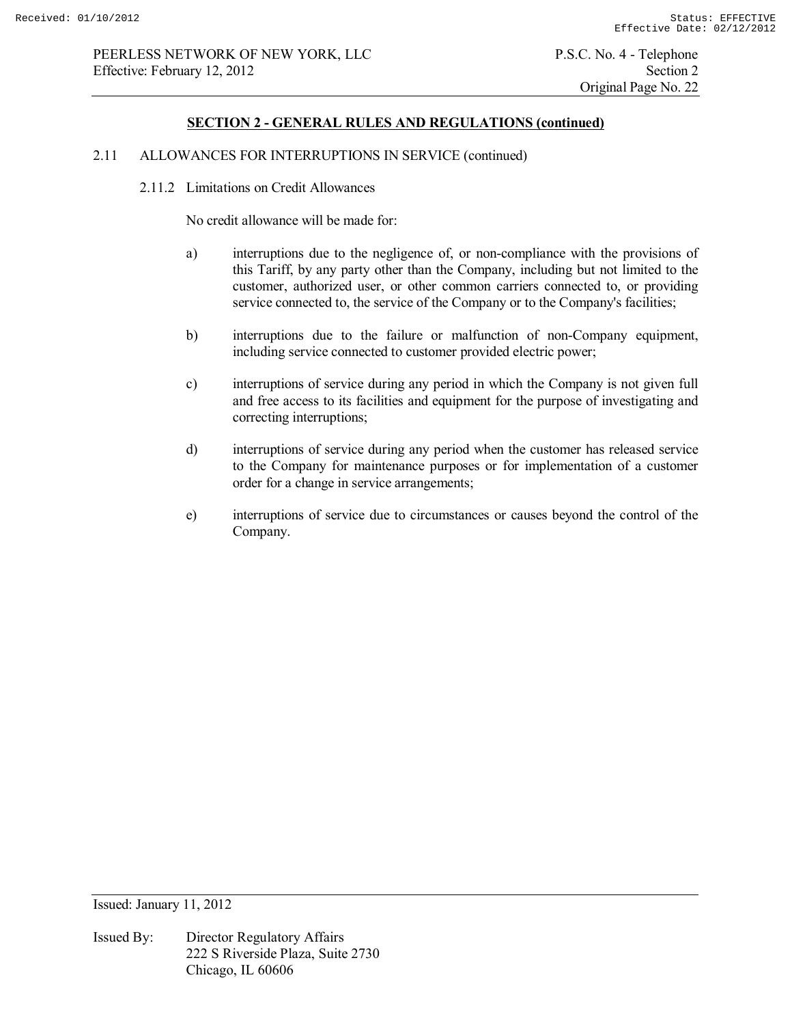#### 2.11 ALLOWANCES FOR INTERRUPTIONS IN SERVICE (continued)

2.11.2 Limitations on Credit Allowances

No credit allowance will be made for:

- a) interruptions due to the negligence of, or non-compliance with the provisions of this Tariff, by any party other than the Company, including but not limited to the customer, authorized user, or other common carriers connected to, or providing service connected to, the service of the Company or to the Company's facilities;
- b) interruptions due to the failure or malfunction of non-Company equipment, including service connected to customer provided electric power;
- c) interruptions of service during any period in which the Company is not given full and free access to its facilities and equipment for the purpose of investigating and correcting interruptions;
- d) interruptions of service during any period when the customer has released service to the Company for maintenance purposes or for implementation of a customer order for a change in service arrangements;
- e) interruptions of service due to circumstances or causes beyond the control of the Company.

Issued: January 11, 2012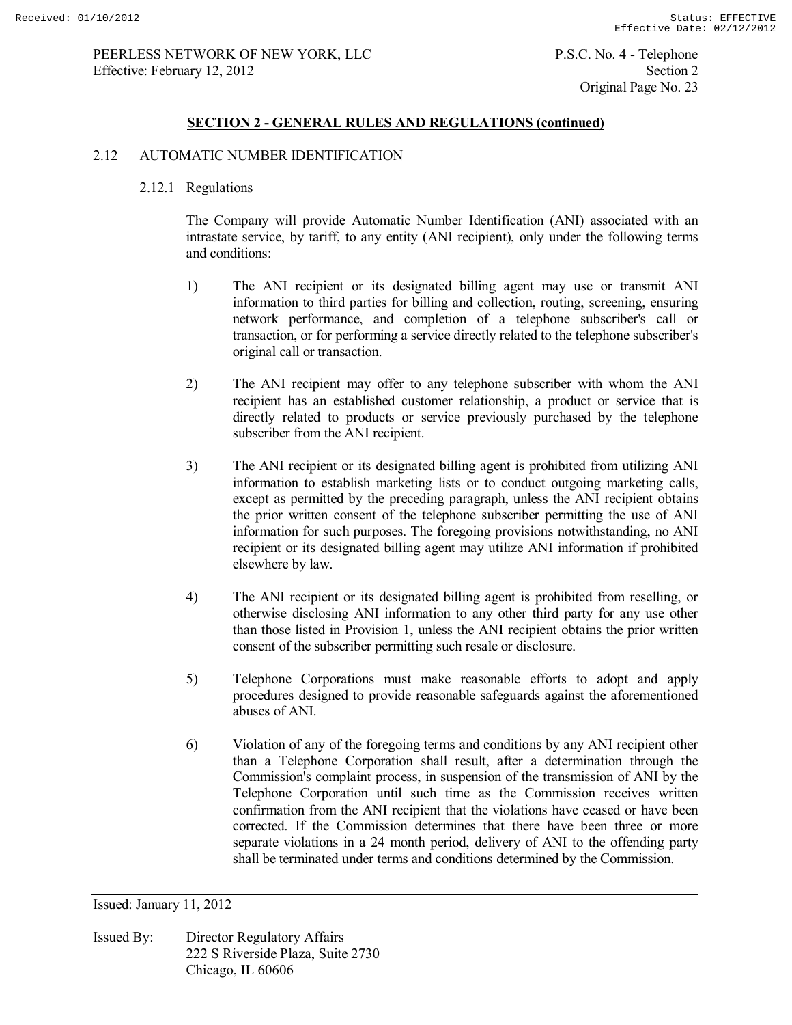## 2.12 AUTOMATIC NUMBER IDENTIFICATION

## 2.12.1 Regulations

 The Company will provide Automatic Number Identification (ANI) associated with an intrastate service, by tariff, to any entity (ANI recipient), only under the following terms and conditions:

- 1) The ANI recipient or its designated billing agent may use or transmit ANI information to third parties for billing and collection, routing, screening, ensuring network performance, and completion of a telephone subscriber's call or transaction, or for performing a service directly related to the telephone subscriber's original call or transaction.
- 2) The ANI recipient may offer to any telephone subscriber with whom the ANI recipient has an established customer relationship, a product or service that is directly related to products or service previously purchased by the telephone subscriber from the ANI recipient.
- 3) The ANI recipient or its designated billing agent is prohibited from utilizing ANI information to establish marketing lists or to conduct outgoing marketing calls, except as permitted by the preceding paragraph, unless the ANI recipient obtains the prior written consent of the telephone subscriber permitting the use of ANI information for such purposes. The foregoing provisions notwithstanding, no ANI recipient or its designated billing agent may utilize ANI information if prohibited elsewhere by law.
- 4) The ANI recipient or its designated billing agent is prohibited from reselling, or otherwise disclosing ANI information to any other third party for any use other than those listed in Provision 1, unless the ANI recipient obtains the prior written consent of the subscriber permitting such resale or disclosure.
- 5) Telephone Corporations must make reasonable efforts to adopt and apply procedures designed to provide reasonable safeguards against the aforementioned abuses of ANI.
- 6) Violation of any of the foregoing terms and conditions by any ANI recipient other than a Telephone Corporation shall result, after a determination through the Commission's complaint process, in suspension of the transmission of ANI by the Telephone Corporation until such time as the Commission receives written confirmation from the ANI recipient that the violations have ceased or have been corrected. If the Commission determines that there have been three or more separate violations in a 24 month period, delivery of ANI to the offending party shall be terminated under terms and conditions determined by the Commission.

Issued: January 11, 2012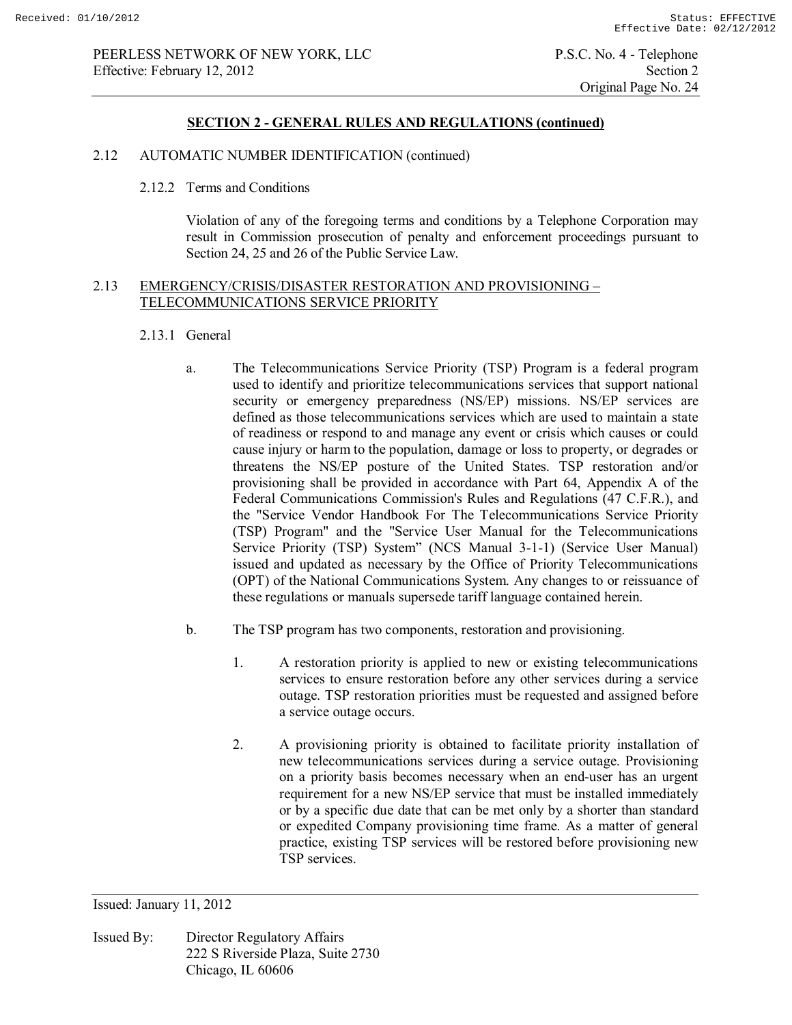Original Page No. 24

## **SECTION 2 - GENERAL RULES AND REGULATIONS (continued)**

## 2.12 AUTOMATIC NUMBER IDENTIFICATION (continued)

#### 2.12.2 Terms and Conditions

 Violation of any of the foregoing terms and conditions by a Telephone Corporation may result in Commission prosecution of penalty and enforcement proceedings pursuant to Section 24, 25 and 26 of the Public Service Law.

# 2.13 EMERGENCY/CRISIS/DISASTER RESTORATION AND PROVISIONING – TELECOMMUNICATIONS SERVICE PRIORITY

## 2.13.1 General

- a. The Telecommunications Service Priority (TSP) Program is a federal program used to identify and prioritize telecommunications services that support national security or emergency preparedness (NS/EP) missions. NS/EP services are defined as those telecommunications services which are used to maintain a state of readiness or respond to and manage any event or crisis which causes or could cause injury or harm to the population, damage or loss to property, or degrades or threatens the NS/EP posture of the United States. TSP restoration and/or provisioning shall be provided in accordance with Part 64, Appendix A of the Federal Communications Commission's Rules and Regulations (47 C.F.R.), and the "Service Vendor Handbook For The Telecommunications Service Priority (TSP) Program" and the "Service User Manual for the Telecommunications Service Priority (TSP) System" (NCS Manual 3-1-1) (Service User Manual) issued and updated as necessary by the Office of Priority Telecommunications (OPT) of the National Communications System. Any changes to or reissuance of these regulations or manuals supersede tariff language contained herein.
- b. The TSP program has two components, restoration and provisioning.
	- 1. A restoration priority is applied to new or existing telecommunications services to ensure restoration before any other services during a service outage. TSP restoration priorities must be requested and assigned before a service outage occurs.
	- 2. A provisioning priority is obtained to facilitate priority installation of new telecommunications services during a service outage. Provisioning on a priority basis becomes necessary when an end-user has an urgent requirement for a new NS/EP service that must be installed immediately or by a specific due date that can be met only by a shorter than standard or expedited Company provisioning time frame. As a matter of general practice, existing TSP services will be restored before provisioning new TSP services.

Issued: January 11, 2012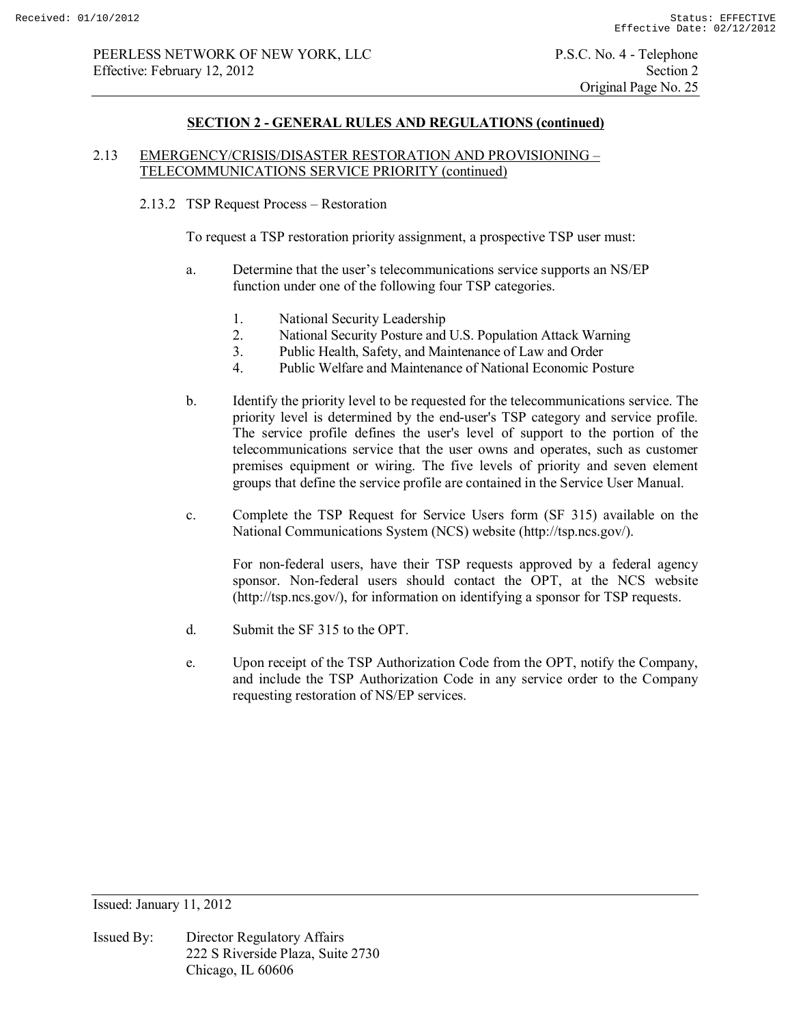## 2.13 EMERGENCY/CRISIS/DISASTER RESTORATION AND PROVISIONING – TELECOMMUNICATIONS SERVICE PRIORITY (continued)

## 2.13.2 TSP Request Process – Restoration

To request a TSP restoration priority assignment, a prospective TSP user must:

- a. Determine that the user's telecommunications service supports an NS/EP function under one of the following four TSP categories.
	- 1. National Security Leadership<br>2. National Security Posture and
	- 2. National Security Posture and U.S. Population Attack Warning
	- 3. Public Health, Safety, and Maintenance of Law and Order
	- 4. Public Welfare and Maintenance of National Economic Posture
- b. Identify the priority level to be requested for the telecommunications service. The priority level is determined by the end-user's TSP category and service profile. The service profile defines the user's level of support to the portion of the telecommunications service that the user owns and operates, such as customer premises equipment or wiring. The five levels of priority and seven element groups that define the service profile are contained in the Service User Manual.
- c. Complete the TSP Request for Service Users form (SF 315) available on the National Communications System (NCS) website (http://tsp.ncs.gov/).

For non-federal users, have their TSP requests approved by a federal agency sponsor. Non-federal users should contact the OPT, at the NCS website (http://tsp.ncs.gov/), for information on identifying a sponsor for TSP requests.

- d. Submit the SF 315 to the OPT.
- e. Upon receipt of the TSP Authorization Code from the OPT, notify the Company, and include the TSP Authorization Code in any service order to the Company requesting restoration of NS/EP services.

Issued: January 11, 2012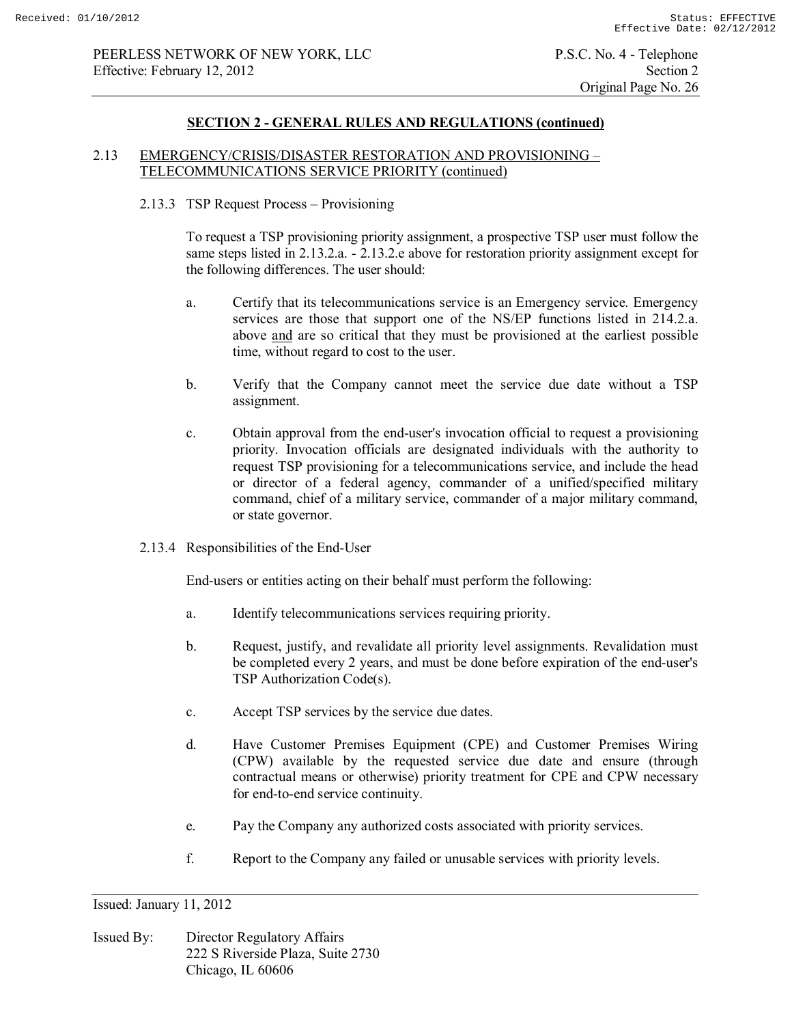## **SECTION 2 - GENERAL RULES AND REGULATIONS (continued)**

## 2.13 EMERGENCY/CRISIS/DISASTER RESTORATION AND PROVISIONING – TELECOMMUNICATIONS SERVICE PRIORITY (continued)

#### 2.13.3 TSP Request Process – Provisioning

To request a TSP provisioning priority assignment, a prospective TSP user must follow the same steps listed in 2.13.2.a. - 2.13.2.e above for restoration priority assignment except for the following differences. The user should:

- a. Certify that its telecommunications service is an Emergency service. Emergency services are those that support one of the NS/EP functions listed in 214.2.a. above and are so critical that they must be provisioned at the earliest possible time, without regard to cost to the user.
- b. Verify that the Company cannot meet the service due date without a TSP assignment.
- c. Obtain approval from the end-user's invocation official to request a provisioning priority. Invocation officials are designated individuals with the authority to request TSP provisioning for a telecommunications service, and include the head or director of a federal agency, commander of a unified/specified military command, chief of a military service, commander of a major military command, or state governor.
- 2.13.4 Responsibilities of the End-User

End-users or entities acting on their behalf must perform the following:

- a. Identify telecommunications services requiring priority.
- b. Request, justify, and revalidate all priority level assignments. Revalidation must be completed every 2 years, and must be done before expiration of the end-user's TSP Authorization Code(s).
- c. Accept TSP services by the service due dates.
- d. Have Customer Premises Equipment (CPE) and Customer Premises Wiring (CPW) available by the requested service due date and ensure (through contractual means or otherwise) priority treatment for CPE and CPW necessary for end-to-end service continuity.
- e. Pay the Company any authorized costs associated with priority services.
- f. Report to the Company any failed or unusable services with priority levels.

Issued: January 11, 2012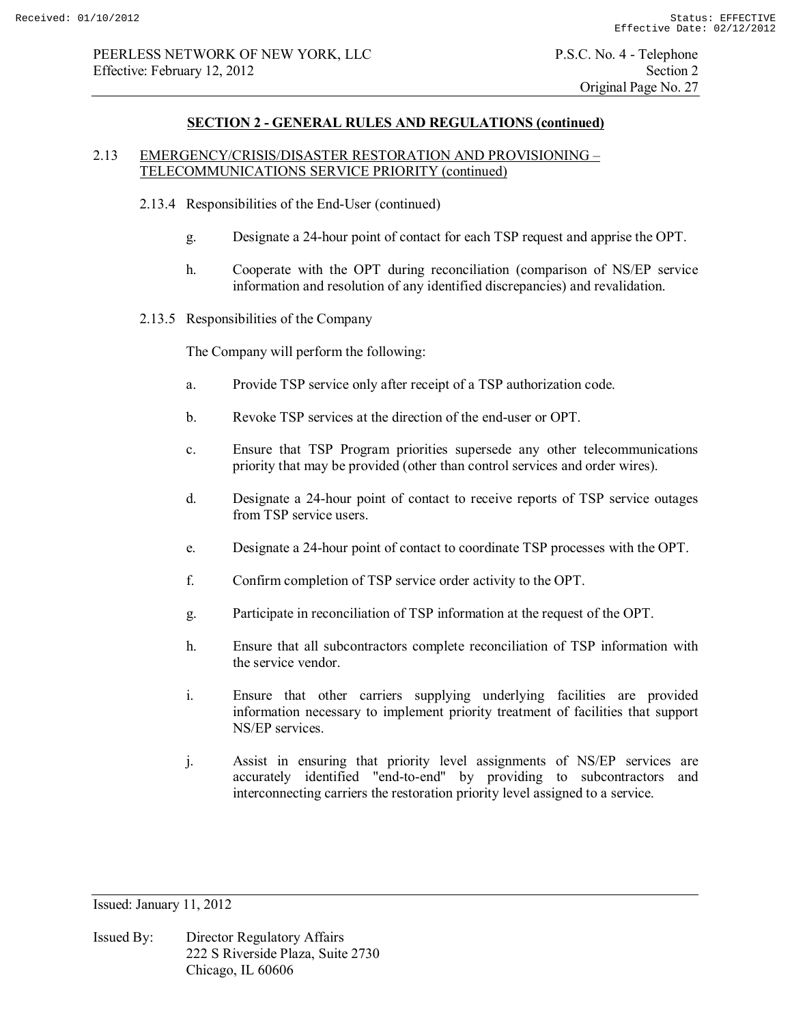## 2.13 EMERGENCY/CRISIS/DISASTER RESTORATION AND PROVISIONING – TELECOMMUNICATIONS SERVICE PRIORITY (continued)

- 2.13.4 Responsibilities of the End-User (continued)
	- g. Designate a 24-hour point of contact for each TSP request and apprise the OPT.
	- h. Cooperate with the OPT during reconciliation (comparison of NS/EP service information and resolution of any identified discrepancies) and revalidation.
- 2.13.5 Responsibilities of the Company

The Company will perform the following:

- a. Provide TSP service only after receipt of a TSP authorization code.
- b. Revoke TSP services at the direction of the end-user or OPT.
- c. Ensure that TSP Program priorities supersede any other telecommunications priority that may be provided (other than control services and order wires).
- d. Designate a 24-hour point of contact to receive reports of TSP service outages from TSP service users.
- e. Designate a 24-hour point of contact to coordinate TSP processes with the OPT.
- f. Confirm completion of TSP service order activity to the OPT.
- g. Participate in reconciliation of TSP information at the request of the OPT.
- h. Ensure that all subcontractors complete reconciliation of TSP information with the service vendor.
- i. Ensure that other carriers supplying underlying facilities are provided information necessary to implement priority treatment of facilities that support NS/EP services.
- j. Assist in ensuring that priority level assignments of NS/EP services are accurately identified "end-to-end" by providing to subcontractors and interconnecting carriers the restoration priority level assigned to a service.

Issued: January 11, 2012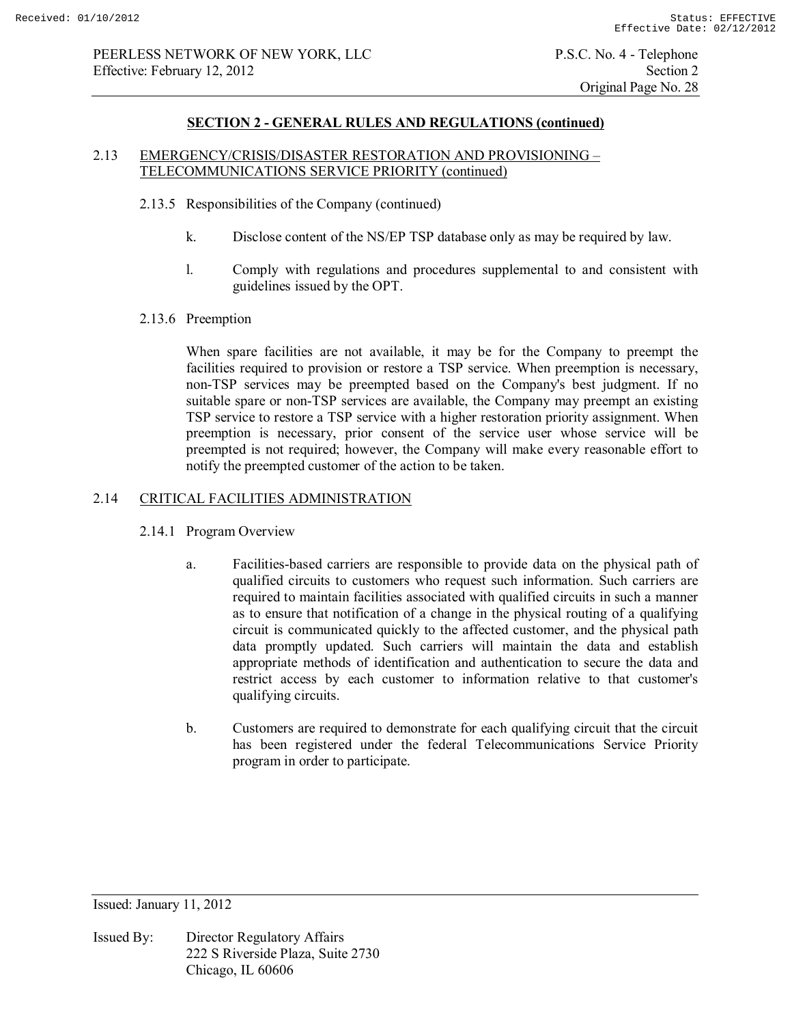# 2.13 EMERGENCY/CRISIS/DISASTER RESTORATION AND PROVISIONING – TELECOMMUNICATIONS SERVICE PRIORITY (continued)

- 2.13.5 Responsibilities of the Company (continued)
	- k. Disclose content of the NS/EP TSP database only as may be required by law.
	- l. Comply with regulations and procedures supplemental to and consistent with guidelines issued by the OPT.
- 2.13.6 Preemption

When spare facilities are not available, it may be for the Company to preempt the facilities required to provision or restore a TSP service. When preemption is necessary, non-TSP services may be preempted based on the Company's best judgment. If no suitable spare or non-TSP services are available, the Company may preempt an existing TSP service to restore a TSP service with a higher restoration priority assignment. When preemption is necessary, prior consent of the service user whose service will be preempted is not required; however, the Company will make every reasonable effort to notify the preempted customer of the action to be taken.

# 2.14 CRITICAL FACILITIES ADMINISTRATION

- 2.14.1 Program Overview
	- a. Facilities-based carriers are responsible to provide data on the physical path of qualified circuits to customers who request such information. Such carriers are required to maintain facilities associated with qualified circuits in such a manner as to ensure that notification of a change in the physical routing of a qualifying circuit is communicated quickly to the affected customer, and the physical path data promptly updated. Such carriers will maintain the data and establish appropriate methods of identification and authentication to secure the data and restrict access by each customer to information relative to that customer's qualifying circuits.
	- b. Customers are required to demonstrate for each qualifying circuit that the circuit has been registered under the federal Telecommunications Service Priority program in order to participate.

Issued: January 11, 2012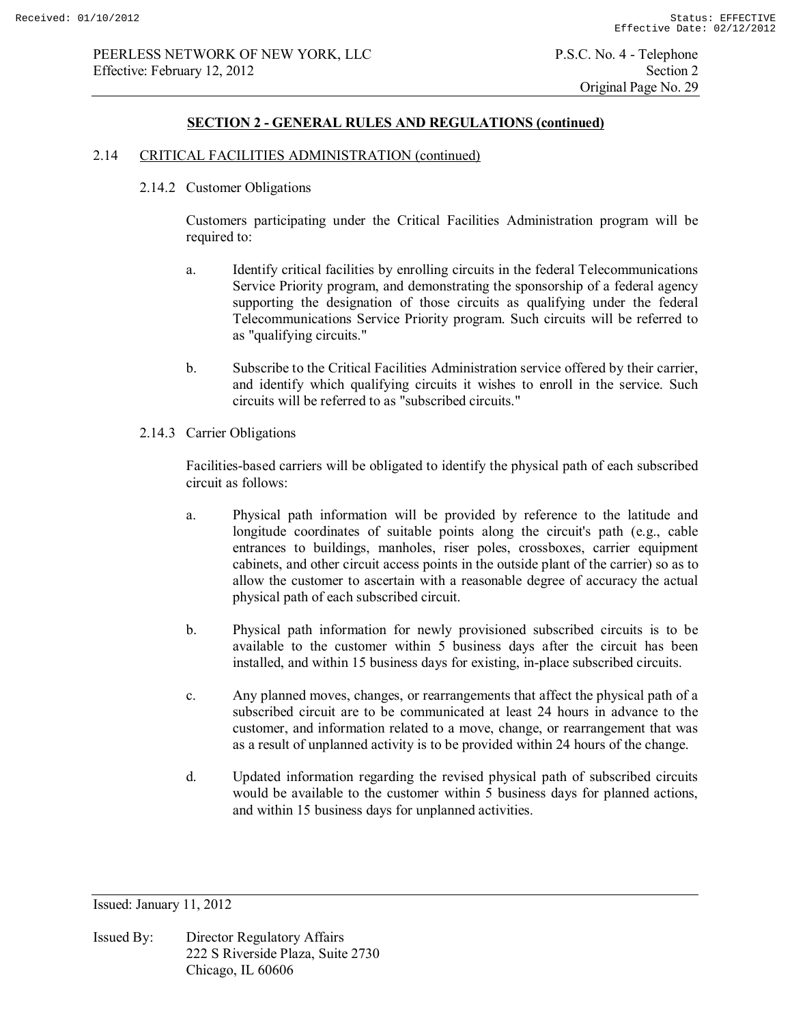## **SECTION 2 - GENERAL RULES AND REGULATIONS (continued)**

## 2.14 CRITICAL FACILITIES ADMINISTRATION (continued)

2.14.2 Customer Obligations

Customers participating under the Critical Facilities Administration program will be required to:

- a. Identify critical facilities by enrolling circuits in the federal Telecommunications Service Priority program, and demonstrating the sponsorship of a federal agency supporting the designation of those circuits as qualifying under the federal Telecommunications Service Priority program. Such circuits will be referred to as "qualifying circuits."
- b. Subscribe to the Critical Facilities Administration service offered by their carrier, and identify which qualifying circuits it wishes to enroll in the service. Such circuits will be referred to as "subscribed circuits."
- 2.14.3 Carrier Obligations

Facilities-based carriers will be obligated to identify the physical path of each subscribed circuit as follows:

- a. Physical path information will be provided by reference to the latitude and longitude coordinates of suitable points along the circuit's path (e.g., cable entrances to buildings, manholes, riser poles, crossboxes, carrier equipment cabinets, and other circuit access points in the outside plant of the carrier) so as to allow the customer to ascertain with a reasonable degree of accuracy the actual physical path of each subscribed circuit.
- b. Physical path information for newly provisioned subscribed circuits is to be available to the customer within 5 business days after the circuit has been installed, and within 15 business days for existing, in-place subscribed circuits.
- c. Any planned moves, changes, or rearrangements that affect the physical path of a subscribed circuit are to be communicated at least 24 hours in advance to the customer, and information related to a move, change, or rearrangement that was as a result of unplanned activity is to be provided within 24 hours of the change.
- d. Updated information regarding the revised physical path of subscribed circuits would be available to the customer within 5 business days for planned actions, and within 15 business days for unplanned activities.

Issued: January 11, 2012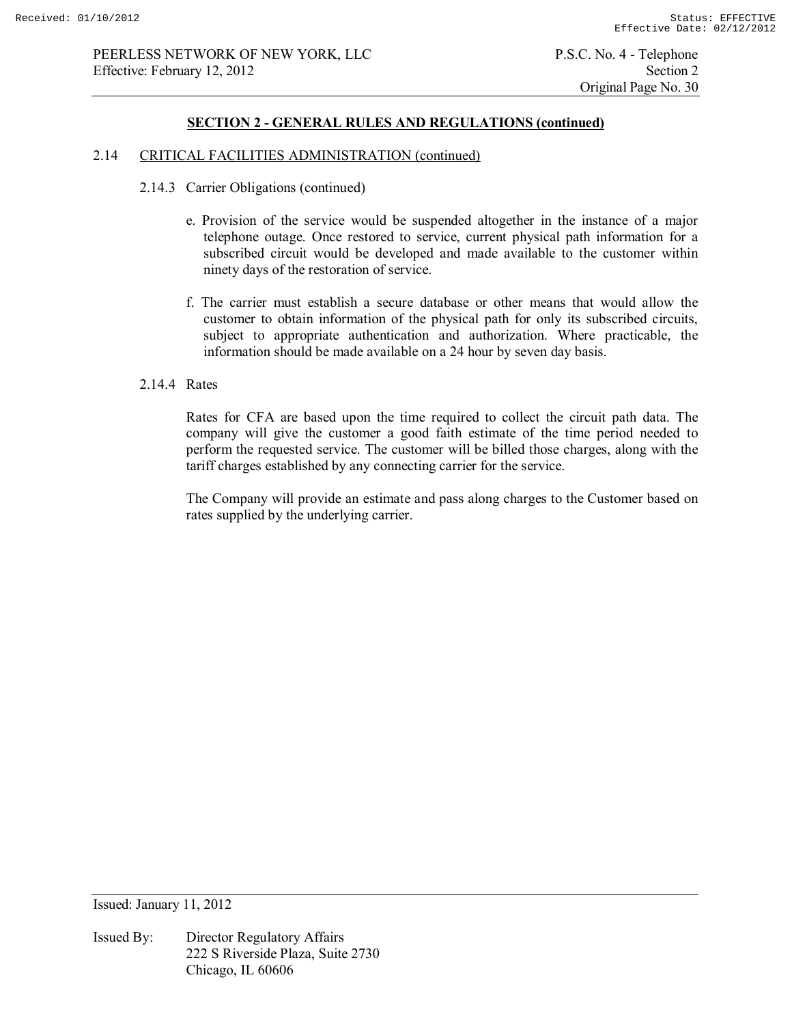## **SECTION 2 - GENERAL RULES AND REGULATIONS (continued)**

#### 2.14 CRITICAL FACILITIES ADMINISTRATION (continued)

- 2.14.3 Carrier Obligations (continued)
	- e. Provision of the service would be suspended altogether in the instance of a major telephone outage. Once restored to service, current physical path information for a subscribed circuit would be developed and made available to the customer within ninety days of the restoration of service.
	- f. The carrier must establish a secure database or other means that would allow the customer to obtain information of the physical path for only its subscribed circuits, subject to appropriate authentication and authorization. Where practicable, the information should be made available on a 24 hour by seven day basis.

## 2.14.4 Rates

Rates for CFA are based upon the time required to collect the circuit path data. The company will give the customer a good faith estimate of the time period needed to perform the requested service. The customer will be billed those charges, along with the tariff charges established by any connecting carrier for the service.

The Company will provide an estimate and pass along charges to the Customer based on rates supplied by the underlying carrier.

Issued: January 11, 2012